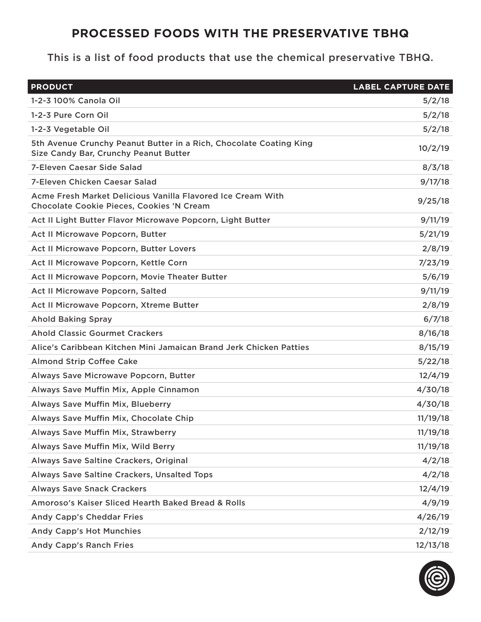## **PROCESSED FOODS WITH THE PRESERVATIVE TBHQ**

This is a list of food products that use the chemical preservative TBHQ.

| <b>PRODUCT</b>                                                                                                  | <b>LABEL CAPTURE DATE</b> |
|-----------------------------------------------------------------------------------------------------------------|---------------------------|
| 1-2-3 100% Canola Oil                                                                                           | 5/2/18                    |
| 1-2-3 Pure Corn Oil                                                                                             | 5/2/18                    |
| 1-2-3 Vegetable Oil                                                                                             | 5/2/18                    |
| 5th Avenue Crunchy Peanut Butter in a Rich, Chocolate Coating King<br>Size Candy Bar, Crunchy Peanut Butter     | 10/2/19                   |
| <b>7-Eleven Caesar Side Salad</b>                                                                               | 8/3/18                    |
| <b>7-Eleven Chicken Caesar Salad</b>                                                                            | 9/17/18                   |
| Acme Fresh Market Delicious Vanilla Flavored Ice Cream With<br><b>Chocolate Cookie Pieces, Cookies 'N Cream</b> | 9/25/18                   |
| Act II Light Butter Flavor Microwave Popcorn, Light Butter                                                      | 9/11/19                   |
| Act II Microwave Popcorn, Butter                                                                                | 5/21/19                   |
| Act II Microwave Popcorn, Butter Lovers                                                                         | 2/8/19                    |
| Act II Microwave Popcorn, Kettle Corn                                                                           | 7/23/19                   |
| Act II Microwave Popcorn, Movie Theater Butter                                                                  | 5/6/19                    |
| Act II Microwave Popcorn, Salted                                                                                | 9/11/19                   |
| Act II Microwave Popcorn, Xtreme Butter                                                                         | 2/8/19                    |
| <b>Ahold Baking Spray</b>                                                                                       | 6/7/18                    |
| <b>Ahold Classic Gourmet Crackers</b>                                                                           | 8/16/18                   |
| Alice's Caribbean Kitchen Mini Jamaican Brand Jerk Chicken Patties                                              | 8/15/19                   |
| <b>Almond Strip Coffee Cake</b>                                                                                 | 5/22/18                   |
| Always Save Microwave Popcorn, Butter                                                                           | 12/4/19                   |
| Always Save Muffin Mix, Apple Cinnamon                                                                          | 4/30/18                   |
| Always Save Muffin Mix, Blueberry                                                                               | 4/30/18                   |
| Always Save Muffin Mix, Chocolate Chip                                                                          | 11/19/18                  |
| Always Save Muffin Mix, Strawberry                                                                              | 11/19/18                  |
| Always Save Muffin Mix, Wild Berry                                                                              | 11/19/18                  |
| Always Save Saltine Crackers, Original                                                                          | 4/2/18                    |
| Always Save Saltine Crackers, Unsalted Tops                                                                     | 4/2/18                    |
| <b>Always Save Snack Crackers</b>                                                                               | 12/4/19                   |
| Amoroso's Kaiser Sliced Hearth Baked Bread & Rolls                                                              | 4/9/19                    |
| <b>Andy Capp's Cheddar Fries</b>                                                                                | 4/26/19                   |
| <b>Andy Capp's Hot Munchies</b>                                                                                 | 2/12/19                   |
| <b>Andy Capp's Ranch Fries</b>                                                                                  | 12/13/18                  |

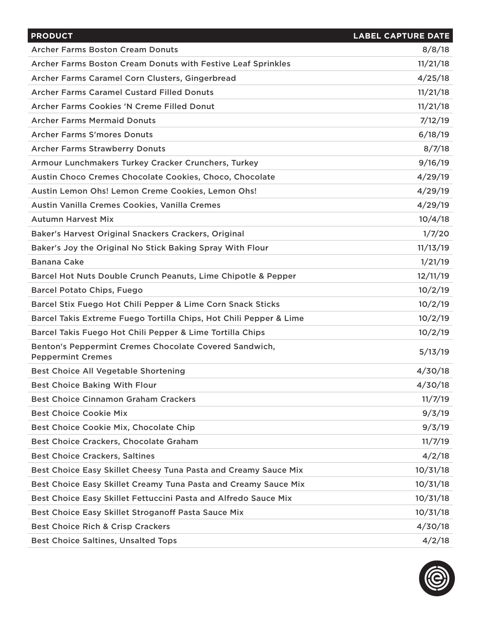| <b>PRODUCT</b>                                                                     | <b>LABEL CAPTURE DATE</b> |
|------------------------------------------------------------------------------------|---------------------------|
| <b>Archer Farms Boston Cream Donuts</b>                                            | 8/8/18                    |
| Archer Farms Boston Cream Donuts with Festive Leaf Sprinkles                       | 11/21/18                  |
| Archer Farms Caramel Corn Clusters, Gingerbread                                    | 4/25/18                   |
| <b>Archer Farms Caramel Custard Filled Donuts</b>                                  | 11/21/18                  |
| Archer Farms Cookies 'N Creme Filled Donut                                         | 11/21/18                  |
| <b>Archer Farms Mermaid Donuts</b>                                                 | 7/12/19                   |
| <b>Archer Farms S'mores Donuts</b>                                                 | 6/18/19                   |
| <b>Archer Farms Strawberry Donuts</b>                                              | 8/7/18                    |
| Armour Lunchmakers Turkey Cracker Crunchers, Turkey                                | 9/16/19                   |
| Austin Choco Cremes Chocolate Cookies, Choco, Chocolate                            | 4/29/19                   |
| Austin Lemon Ohs! Lemon Creme Cookies, Lemon Ohs!                                  | 4/29/19                   |
| Austin Vanilla Cremes Cookies, Vanilla Cremes                                      | 4/29/19                   |
| <b>Autumn Harvest Mix</b>                                                          | 10/4/18                   |
| Baker's Harvest Original Snackers Crackers, Original                               | 1/7/20                    |
| Baker's Joy the Original No Stick Baking Spray With Flour                          | 11/13/19                  |
| <b>Banana Cake</b>                                                                 | 1/21/19                   |
| Barcel Hot Nuts Double Crunch Peanuts, Lime Chipotle & Pepper                      | 12/11/19                  |
| <b>Barcel Potato Chips, Fuego</b>                                                  | 10/2/19                   |
| Barcel Stix Fuego Hot Chili Pepper & Lime Corn Snack Sticks                        | 10/2/19                   |
| Barcel Takis Extreme Fuego Tortilla Chips, Hot Chili Pepper & Lime                 | 10/2/19                   |
| Barcel Takis Fuego Hot Chili Pepper & Lime Tortilla Chips                          | 10/2/19                   |
| Benton's Peppermint Cremes Chocolate Covered Sandwich,<br><b>Peppermint Cremes</b> | 5/13/19                   |
| <b>Best Choice All Vegetable Shortening</b>                                        | 4/30/18                   |
| <b>Best Choice Baking With Flour</b>                                               | 4/30/18                   |
| <b>Best Choice Cinnamon Graham Crackers</b>                                        | 11/7/19                   |
| <b>Best Choice Cookie Mix</b>                                                      | 9/3/19                    |
| Best Choice Cookie Mix, Chocolate Chip                                             | 9/3/19                    |
| <b>Best Choice Crackers, Chocolate Graham</b>                                      | 11/7/19                   |
| <b>Best Choice Crackers, Saltines</b>                                              | 4/2/18                    |
| Best Choice Easy Skillet Cheesy Tuna Pasta and Creamy Sauce Mix                    | 10/31/18                  |
| Best Choice Easy Skillet Creamy Tuna Pasta and Creamy Sauce Mix                    | 10/31/18                  |
| Best Choice Easy Skillet Fettuccini Pasta and Alfredo Sauce Mix                    | 10/31/18                  |
| Best Choice Easy Skillet Stroganoff Pasta Sauce Mix                                | 10/31/18                  |
| <b>Best Choice Rich &amp; Crisp Crackers</b>                                       | 4/30/18                   |
| <b>Best Choice Saltines, Unsalted Tops</b>                                         | 4/2/18                    |

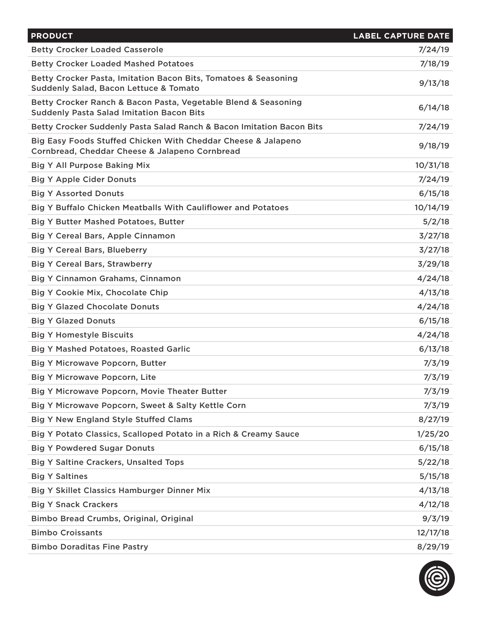| <b>PRODUCT</b>                                                                                                     | <b>LABEL CAPTURE DATE</b> |
|--------------------------------------------------------------------------------------------------------------------|---------------------------|
| <b>Betty Crocker Loaded Casserole</b>                                                                              | 7/24/19                   |
| <b>Betty Crocker Loaded Mashed Potatoes</b>                                                                        | 7/18/19                   |
| Betty Crocker Pasta, Imitation Bacon Bits, Tomatoes & Seasoning<br>Suddenly Salad, Bacon Lettuce & Tomato          | 9/13/18                   |
| Betty Crocker Ranch & Bacon Pasta, Vegetable Blend & Seasoning<br><b>Suddenly Pasta Salad Imitation Bacon Bits</b> | 6/14/18                   |
| Betty Crocker Suddenly Pasta Salad Ranch & Bacon Imitation Bacon Bits                                              | 7/24/19                   |
| Big Easy Foods Stuffed Chicken With Cheddar Cheese & Jalapeno<br>Cornbread, Cheddar Cheese & Jalapeno Cornbread    | 9/18/19                   |
| <b>Big Y All Purpose Baking Mix</b>                                                                                | 10/31/18                  |
| <b>Big Y Apple Cider Donuts</b>                                                                                    | 7/24/19                   |
| <b>Big Y Assorted Donuts</b>                                                                                       | 6/15/18                   |
| Big Y Buffalo Chicken Meatballs With Cauliflower and Potatoes                                                      | 10/14/19                  |
| <b>Big Y Butter Mashed Potatoes, Butter</b>                                                                        | 5/2/18                    |
| <b>Big Y Cereal Bars, Apple Cinnamon</b>                                                                           | 3/27/18                   |
| <b>Big Y Cereal Bars, Blueberry</b>                                                                                | 3/27/18                   |
| <b>Big Y Cereal Bars, Strawberry</b>                                                                               | 3/29/18                   |
| <b>Big Y Cinnamon Grahams, Cinnamon</b>                                                                            | 4/24/18                   |
| <b>Big Y Cookie Mix, Chocolate Chip</b>                                                                            | 4/13/18                   |
| <b>Big Y Glazed Chocolate Donuts</b>                                                                               | 4/24/18                   |
| <b>Big Y Glazed Donuts</b>                                                                                         | 6/15/18                   |
| <b>Big Y Homestyle Biscuits</b>                                                                                    | 4/24/18                   |
| <b>Big Y Mashed Potatoes, Roasted Garlic</b>                                                                       | 6/13/18                   |
| <b>Big Y Microwave Popcorn, Butter</b>                                                                             | 7/3/19                    |
| <b>Big Y Microwave Popcorn, Lite</b>                                                                               | 7/3/19                    |
| Big Y Microwave Popcorn, Movie Theater Butter                                                                      | 7/3/19                    |
| Big Y Microwave Popcorn, Sweet & Salty Kettle Corn                                                                 | 7/3/19                    |
| <b>Big Y New England Style Stuffed Clams</b>                                                                       | 8/27/19                   |
| Big Y Potato Classics, Scalloped Potato in a Rich & Creamy Sauce                                                   | 1/25/20                   |
| <b>Big Y Powdered Sugar Donuts</b>                                                                                 | 6/15/18                   |
| <b>Big Y Saltine Crackers, Unsalted Tops</b>                                                                       | 5/22/18                   |
| <b>Big Y Saltines</b>                                                                                              | 5/15/18                   |
| <b>Big Y Skillet Classics Hamburger Dinner Mix</b>                                                                 | 4/13/18                   |
| <b>Big Y Snack Crackers</b>                                                                                        | 4/12/18                   |
| Bimbo Bread Crumbs, Original, Original                                                                             | 9/3/19                    |
| <b>Bimbo Croissants</b>                                                                                            | 12/17/18                  |
| <b>Bimbo Doraditas Fine Pastry</b>                                                                                 | 8/29/19                   |

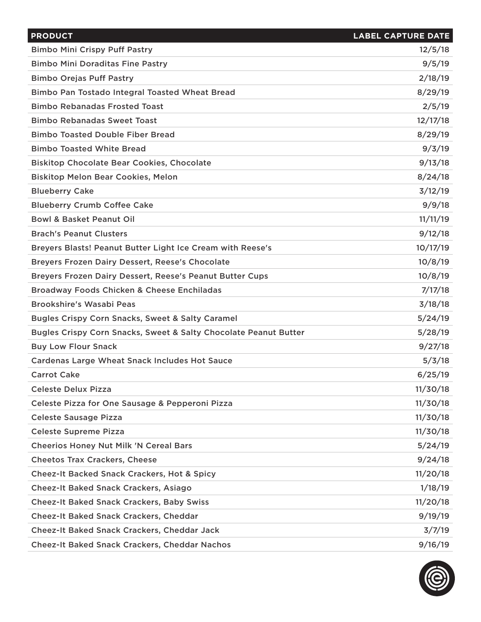| <b>PRODUCT</b>                                                   | <b>LABEL CAPTURE DATE</b> |
|------------------------------------------------------------------|---------------------------|
| <b>Bimbo Mini Crispy Puff Pastry</b>                             | 12/5/18                   |
| <b>Bimbo Mini Doraditas Fine Pastry</b>                          | 9/5/19                    |
| <b>Bimbo Orejas Puff Pastry</b>                                  | 2/18/19                   |
| Bimbo Pan Tostado Integral Toasted Wheat Bread                   | 8/29/19                   |
| <b>Bimbo Rebanadas Frosted Toast</b>                             | 2/5/19                    |
| <b>Bimbo Rebanadas Sweet Toast</b>                               | 12/17/18                  |
| <b>Bimbo Toasted Double Fiber Bread</b>                          | 8/29/19                   |
| <b>Bimbo Toasted White Bread</b>                                 | 9/3/19                    |
| <b>Biskitop Chocolate Bear Cookies, Chocolate</b>                | 9/13/18                   |
| <b>Biskitop Melon Bear Cookies, Melon</b>                        | 8/24/18                   |
| <b>Blueberry Cake</b>                                            | 3/12/19                   |
| <b>Blueberry Crumb Coffee Cake</b>                               | 9/9/18                    |
| <b>Bowl &amp; Basket Peanut Oil</b>                              | 11/11/19                  |
| <b>Brach's Peanut Clusters</b>                                   | 9/12/18                   |
| Breyers Blasts! Peanut Butter Light Ice Cream with Reese's       | 10/17/19                  |
| Breyers Frozen Dairy Dessert, Reese's Chocolate                  | 10/8/19                   |
| Breyers Frozen Dairy Dessert, Reese's Peanut Butter Cups         | 10/8/19                   |
| Broadway Foods Chicken & Cheese Enchiladas                       | 7/17/18                   |
| <b>Brookshire's Wasabi Peas</b>                                  | 3/18/18                   |
| Bugles Crispy Corn Snacks, Sweet & Salty Caramel                 | 5/24/19                   |
| Bugles Crispy Corn Snacks, Sweet & Salty Chocolate Peanut Butter | 5/28/19                   |
| <b>Buy Low Flour Snack</b>                                       | 9/27/18                   |
| <b>Cardenas Large Wheat Snack Includes Hot Sauce</b>             | 5/3/18                    |
| <b>Carrot Cake</b>                                               | 6/25/19                   |
| <b>Celeste Delux Pizza</b>                                       | 11/30/18                  |
| Celeste Pizza for One Sausage & Pepperoni Pizza                  | 11/30/18                  |
| <b>Celeste Sausage Pizza</b>                                     | 11/30/18                  |
| <b>Celeste Supreme Pizza</b>                                     | 11/30/18                  |
| <b>Cheerios Honey Nut Milk 'N Cereal Bars</b>                    | 5/24/19                   |
| <b>Cheetos Trax Crackers, Cheese</b>                             | 9/24/18                   |
| <b>Cheez-It Backed Snack Crackers, Hot &amp; Spicy</b>           | 11/20/18                  |
| <b>Cheez-It Baked Snack Crackers, Asiago</b>                     | 1/18/19                   |
| <b>Cheez-It Baked Snack Crackers, Baby Swiss</b>                 | 11/20/18                  |
| <b>Cheez-It Baked Snack Crackers, Cheddar</b>                    | 9/19/19                   |
| Cheez-It Baked Snack Crackers, Cheddar Jack                      | 3/7/19                    |
| <b>Cheez-It Baked Snack Crackers, Cheddar Nachos</b>             | 9/16/19                   |

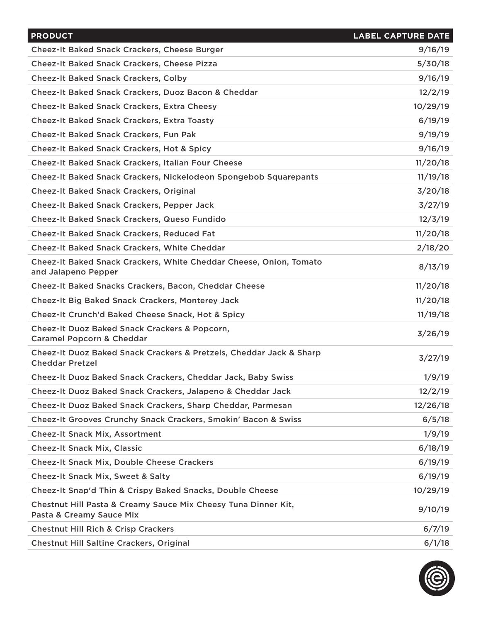| <b>PRODUCT</b>                                                                                | <b>LABEL CAPTURE DATE</b> |
|-----------------------------------------------------------------------------------------------|---------------------------|
| Cheez-It Baked Snack Crackers, Cheese Burger                                                  | 9/16/19                   |
| <b>Cheez-It Baked Snack Crackers, Cheese Pizza</b>                                            | 5/30/18                   |
| <b>Cheez-It Baked Snack Crackers, Colby</b>                                                   | 9/16/19                   |
| Cheez-It Baked Snack Crackers, Duoz Bacon & Cheddar                                           | 12/2/19                   |
| <b>Cheez-It Baked Snack Crackers, Extra Cheesy</b>                                            | 10/29/19                  |
| <b>Cheez-It Baked Snack Crackers, Extra Toasty</b>                                            | 6/19/19                   |
| <b>Cheez-It Baked Snack Crackers, Fun Pak</b>                                                 | 9/19/19                   |
| <b>Cheez-It Baked Snack Crackers, Hot &amp; Spicy</b>                                         | 9/16/19                   |
| <b>Cheez-It Baked Snack Crackers, Italian Four Cheese</b>                                     | 11/20/18                  |
| <b>Cheez-It Baked Snack Crackers, Nickelodeon Spongebob Squarepants</b>                       | 11/19/18                  |
| <b>Cheez-It Baked Snack Crackers, Original</b>                                                | 3/20/18                   |
| <b>Cheez-It Baked Snack Crackers, Pepper Jack</b>                                             | 3/27/19                   |
| <b>Cheez-It Baked Snack Crackers, Queso Fundido</b>                                           | 12/3/19                   |
| <b>Cheez-It Baked Snack Crackers, Reduced Fat</b>                                             | 11/20/18                  |
| <b>Cheez-It Baked Snack Crackers, White Cheddar</b>                                           | 2/18/20                   |
| Cheez-It Baked Snack Crackers, White Cheddar Cheese, Onion, Tomato<br>and Jalapeno Pepper     | 8/13/19                   |
| Cheez-It Baked Snacks Crackers, Bacon, Cheddar Cheese                                         | 11/20/18                  |
| <b>Cheez-It Big Baked Snack Crackers, Monterey Jack</b>                                       | 11/20/18                  |
| Cheez-It Crunch'd Baked Cheese Snack, Hot & Spicy                                             | 11/19/18                  |
| Cheez-It Duoz Baked Snack Crackers & Popcorn,<br><b>Caramel Popcorn &amp; Cheddar</b>         | 3/26/19                   |
| Cheez-It Duoz Baked Snack Crackers & Pretzels, Cheddar Jack & Sharp<br><b>Cheddar Pretzel</b> | 3/27/19                   |
| Cheez-It Duoz Baked Snack Crackers, Cheddar Jack, Baby Swiss                                  | 1/9/19                    |
| Cheez-It Duoz Baked Snack Crackers, Jalapeno & Cheddar Jack                                   | 12/2/19                   |
| Cheez-It Duoz Baked Snack Crackers, Sharp Cheddar, Parmesan                                   | 12/26/18                  |
| <b>Cheez-It Grooves Crunchy Snack Crackers, Smokin' Bacon &amp; Swiss</b>                     | 6/5/18                    |
| <b>Cheez-It Snack Mix, Assortment</b>                                                         | 1/9/19                    |
| <b>Cheez-It Snack Mix, Classic</b>                                                            | 6/18/19                   |
| <b>Cheez-It Snack Mix, Double Cheese Crackers</b>                                             | 6/19/19                   |
| <b>Cheez-It Snack Mix, Sweet &amp; Salty</b>                                                  | 6/19/19                   |
| Cheez-It Snap'd Thin & Crispy Baked Snacks, Double Cheese                                     | 10/29/19                  |
| Chestnut Hill Pasta & Creamy Sauce Mix Cheesy Tuna Dinner Kit,<br>Pasta & Creamy Sauce Mix    | 9/10/19                   |
| <b>Chestnut Hill Rich &amp; Crisp Crackers</b>                                                | 6/7/19                    |
| <b>Chestnut Hill Saltine Crackers, Original</b>                                               | 6/1/18                    |

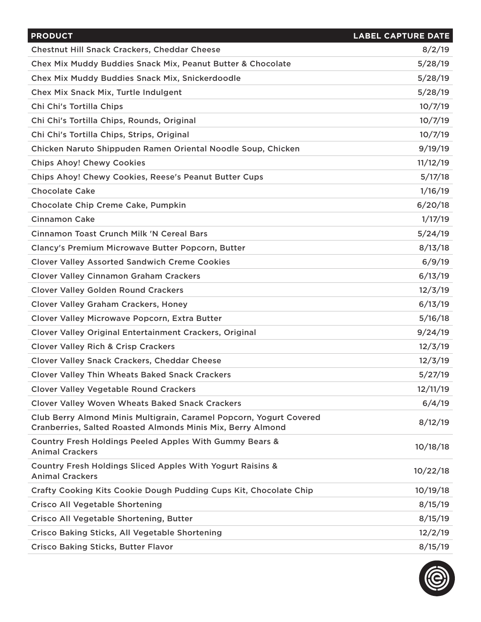| <b>PRODUCT</b>                                                                                                                     | <b>LABEL CAPTURE DATE</b> |
|------------------------------------------------------------------------------------------------------------------------------------|---------------------------|
| <b>Chestnut Hill Snack Crackers, Cheddar Cheese</b>                                                                                | 8/2/19                    |
| Chex Mix Muddy Buddies Snack Mix, Peanut Butter & Chocolate                                                                        | 5/28/19                   |
| Chex Mix Muddy Buddies Snack Mix, Snickerdoodle                                                                                    | 5/28/19                   |
| Chex Mix Snack Mix, Turtle Indulgent                                                                                               | 5/28/19                   |
| Chi Chi's Tortilla Chips                                                                                                           | 10/7/19                   |
| Chi Chi's Tortilla Chips, Rounds, Original                                                                                         | 10/7/19                   |
| Chi Chi's Tortilla Chips, Strips, Original                                                                                         | 10/7/19                   |
| Chicken Naruto Shippuden Ramen Oriental Noodle Soup, Chicken                                                                       | 9/19/19                   |
| <b>Chips Ahoy! Chewy Cookies</b>                                                                                                   | 11/12/19                  |
| Chips Ahoy! Chewy Cookies, Reese's Peanut Butter Cups                                                                              | 5/17/18                   |
| <b>Chocolate Cake</b>                                                                                                              | 1/16/19                   |
| Chocolate Chip Creme Cake, Pumpkin                                                                                                 | 6/20/18                   |
| <b>Cinnamon Cake</b>                                                                                                               | 1/17/19                   |
| <b>Cinnamon Toast Crunch Milk 'N Cereal Bars</b>                                                                                   | 5/24/19                   |
| Clancy's Premium Microwave Butter Popcorn, Butter                                                                                  | 8/13/18                   |
| <b>Clover Valley Assorted Sandwich Creme Cookies</b>                                                                               | 6/9/19                    |
| <b>Clover Valley Cinnamon Graham Crackers</b>                                                                                      | 6/13/19                   |
| <b>Clover Valley Golden Round Crackers</b>                                                                                         | 12/3/19                   |
| <b>Clover Valley Graham Crackers, Honey</b>                                                                                        | 6/13/19                   |
| Clover Valley Microwave Popcorn, Extra Butter                                                                                      | 5/16/18                   |
| Clover Valley Original Entertainment Crackers, Original                                                                            | 9/24/19                   |
| <b>Clover Valley Rich &amp; Crisp Crackers</b>                                                                                     | 12/3/19                   |
| <b>Clover Valley Snack Crackers, Cheddar Cheese</b>                                                                                | 12/3/19                   |
| <b>Clover Valley Thin Wheats Baked Snack Crackers</b>                                                                              | 5/27/19                   |
| <b>Clover Valley Vegetable Round Crackers</b>                                                                                      | 12/11/19                  |
| <b>Clover Valley Woven Wheats Baked Snack Crackers</b>                                                                             | 6/4/19                    |
| Club Berry Almond Minis Multigrain, Caramel Popcorn, Yogurt Covered<br>Cranberries, Salted Roasted Almonds Minis Mix, Berry Almond | 8/12/19                   |
| Country Fresh Holdings Peeled Apples With Gummy Bears &<br><b>Animal Crackers</b>                                                  | 10/18/18                  |
| Country Fresh Holdings Sliced Apples With Yogurt Raisins &<br><b>Animal Crackers</b>                                               | 10/22/18                  |
| Crafty Cooking Kits Cookie Dough Pudding Cups Kit, Chocolate Chip                                                                  | 10/19/18                  |
| <b>Crisco All Vegetable Shortening</b>                                                                                             | 8/15/19                   |
| Crisco All Vegetable Shortening, Butter                                                                                            | 8/15/19                   |
| <b>Crisco Baking Sticks, All Vegetable Shortening</b>                                                                              | 12/2/19                   |
| <b>Crisco Baking Sticks, Butter Flavor</b>                                                                                         | 8/15/19                   |

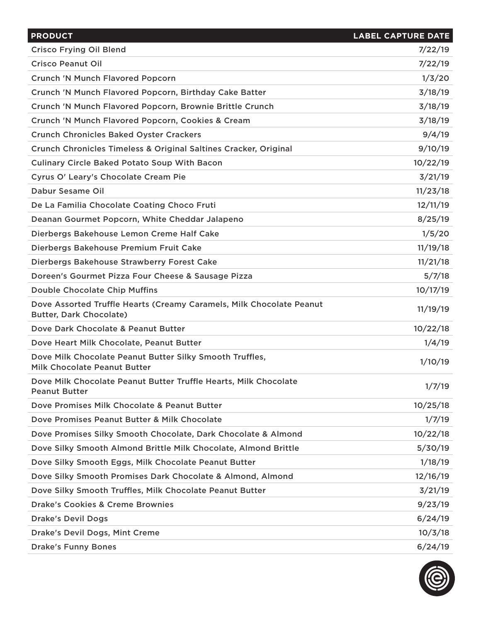| <b>PRODUCT</b>                                                                                         | <b>LABEL CAPTURE DATE</b> |
|--------------------------------------------------------------------------------------------------------|---------------------------|
| <b>Crisco Frying Oil Blend</b>                                                                         | 7/22/19                   |
| <b>Crisco Peanut Oil</b>                                                                               | 7/22/19                   |
| <b>Crunch 'N Munch Flavored Popcorn</b>                                                                | 1/3/20                    |
| Crunch 'N Munch Flavored Popcorn, Birthday Cake Batter                                                 | 3/18/19                   |
| Crunch 'N Munch Flavored Popcorn, Brownie Brittle Crunch                                               | 3/18/19                   |
| Crunch 'N Munch Flavored Popcorn, Cookies & Cream                                                      | 3/18/19                   |
| <b>Crunch Chronicles Baked Oyster Crackers</b>                                                         | 9/4/19                    |
| Crunch Chronicles Timeless & Original Saltines Cracker, Original                                       | 9/10/19                   |
| <b>Culinary Circle Baked Potato Soup With Bacon</b>                                                    | 10/22/19                  |
| Cyrus O' Leary's Chocolate Cream Pie                                                                   | 3/21/19                   |
| Dabur Sesame Oil                                                                                       | 11/23/18                  |
| De La Familia Chocolate Coating Choco Fruti                                                            | 12/11/19                  |
| Deanan Gourmet Popcorn, White Cheddar Jalapeno                                                         | 8/25/19                   |
| Dierbergs Bakehouse Lemon Creme Half Cake                                                              | 1/5/20                    |
| Dierbergs Bakehouse Premium Fruit Cake                                                                 | 11/19/18                  |
| Dierbergs Bakehouse Strawberry Forest Cake                                                             | 11/21/18                  |
| Doreen's Gourmet Pizza Four Cheese & Sausage Pizza                                                     | 5/7/18                    |
| <b>Double Chocolate Chip Muffins</b>                                                                   | 10/17/19                  |
| Dove Assorted Truffle Hearts (Creamy Caramels, Milk Chocolate Peanut<br><b>Butter, Dark Chocolate)</b> | 11/19/19                  |
| Dove Dark Chocolate & Peanut Butter                                                                    | 10/22/18                  |
| Dove Heart Milk Chocolate, Peanut Butter                                                               | 1/4/19                    |
| Dove Milk Chocolate Peanut Butter Silky Smooth Truffles,<br>Milk Chocolate Peanut Butter               | 1/10/19                   |
| Dove Milk Chocolate Peanut Butter Truffle Hearts, Milk Chocolate<br><b>Peanut Butter</b>               | 1/7/19                    |
| Dove Promises Milk Chocolate & Peanut Butter                                                           | 10/25/18                  |
| Dove Promises Peanut Butter & Milk Chocolate                                                           | 1/7/19                    |
| Dove Promises Silky Smooth Chocolate, Dark Chocolate & Almond                                          | 10/22/18                  |
| Dove Silky Smooth Almond Brittle Milk Chocolate, Almond Brittle                                        | 5/30/19                   |
| Dove Silky Smooth Eggs, Milk Chocolate Peanut Butter                                                   | 1/18/19                   |
| Dove Silky Smooth Promises Dark Chocolate & Almond, Almond                                             | 12/16/19                  |
| Dove Silky Smooth Truffles, Milk Chocolate Peanut Butter                                               | 3/21/19                   |
| <b>Drake's Cookies &amp; Creme Brownies</b>                                                            | 9/23/19                   |
| <b>Drake's Devil Dogs</b>                                                                              | 6/24/19                   |
| <b>Drake's Devil Dogs, Mint Creme</b>                                                                  | 10/3/18                   |
| <b>Drake's Funny Bones</b>                                                                             | 6/24/19                   |

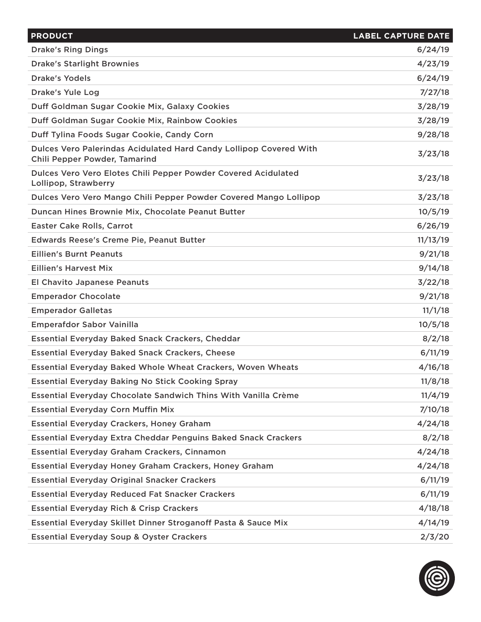| <b>PRODUCT</b>                                                                                      | <b>LABEL CAPTURE DATE</b> |
|-----------------------------------------------------------------------------------------------------|---------------------------|
| <b>Drake's Ring Dings</b>                                                                           | 6/24/19                   |
| <b>Drake's Starlight Brownies</b>                                                                   | 4/23/19                   |
| <b>Drake's Yodels</b>                                                                               | 6/24/19                   |
| <b>Drake's Yule Log</b>                                                                             | 7/27/18                   |
| Duff Goldman Sugar Cookie Mix, Galaxy Cookies                                                       | 3/28/19                   |
| Duff Goldman Sugar Cookie Mix, Rainbow Cookies                                                      | 3/28/19                   |
| Duff Tylina Foods Sugar Cookie, Candy Corn                                                          | 9/28/18                   |
| Dulces Vero Palerindas Acidulated Hard Candy Lollipop Covered With<br>Chili Pepper Powder, Tamarind | 3/23/18                   |
| Dulces Vero Vero Elotes Chili Pepper Powder Covered Acidulated<br>Lollipop, Strawberry              | 3/23/18                   |
| Dulces Vero Vero Mango Chili Pepper Powder Covered Mango Lollipop                                   | 3/23/18                   |
| Duncan Hines Brownie Mix, Chocolate Peanut Butter                                                   | 10/5/19                   |
| <b>Easter Cake Rolls, Carrot</b>                                                                    | 6/26/19                   |
| Edwards Reese's Creme Pie, Peanut Butter                                                            | 11/13/19                  |
| <b>Eillien's Burnt Peanuts</b>                                                                      | 9/21/18                   |
| <b>Eillien's Harvest Mix</b>                                                                        | 9/14/18                   |
| <b>El Chavito Japanese Peanuts</b>                                                                  | 3/22/18                   |
| <b>Emperador Chocolate</b>                                                                          | 9/21/18                   |
| <b>Emperador Galletas</b>                                                                           | 11/1/18                   |
| <b>Emperafdor Sabor Vainilla</b>                                                                    | 10/5/18                   |
| <b>Essential Everyday Baked Snack Crackers, Cheddar</b>                                             | 8/2/18                    |
| <b>Essential Everyday Baked Snack Crackers, Cheese</b>                                              | 6/11/19                   |
| <b>Essential Everyday Baked Whole Wheat Crackers, Woven Wheats</b>                                  | 4/16/18                   |
| <b>Essential Everyday Baking No Stick Cooking Spray</b>                                             | 11/8/18                   |
| <b>Essential Everyday Chocolate Sandwich Thins With Vanilla Crème</b>                               | 11/4/19                   |
| <b>Essential Everyday Corn Muffin Mix</b>                                                           | 7/10/18                   |
| <b>Essential Everyday Crackers, Honey Graham</b>                                                    | 4/24/18                   |
| <b>Essential Everyday Extra Cheddar Penguins Baked Snack Crackers</b>                               | 8/2/18                    |
| Essential Everyday Graham Crackers, Cinnamon                                                        | 4/24/18                   |
| Essential Everyday Honey Graham Crackers, Honey Graham                                              | 4/24/18                   |
| <b>Essential Everyday Original Snacker Crackers</b>                                                 | 6/11/19                   |
| <b>Essential Everyday Reduced Fat Snacker Crackers</b>                                              | 6/11/19                   |
| <b>Essential Everyday Rich &amp; Crisp Crackers</b>                                                 | 4/18/18                   |
| Essential Everyday Skillet Dinner Stroganoff Pasta & Sauce Mix                                      | 4/14/19                   |
| <b>Essential Everyday Soup &amp; Oyster Crackers</b>                                                | 2/3/20                    |

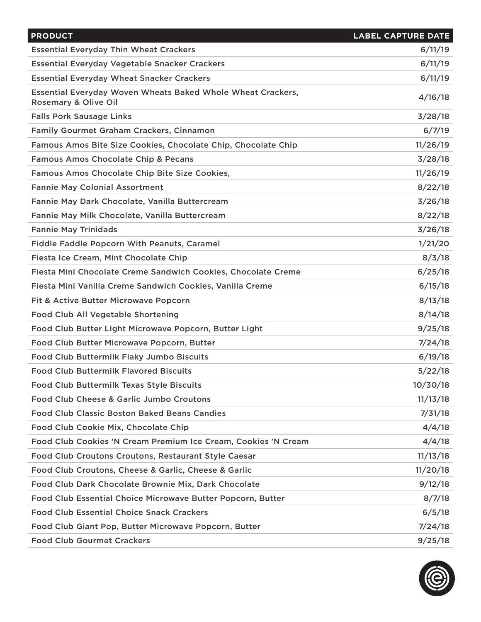| <b>PRODUCT</b>                                                                             | <b>LABEL CAPTURE DATE</b> |
|--------------------------------------------------------------------------------------------|---------------------------|
| <b>Essential Everyday Thin Wheat Crackers</b>                                              | 6/11/19                   |
| Essential Everyday Vegetable Snacker Crackers                                              | 6/11/19                   |
| <b>Essential Everyday Wheat Snacker Crackers</b>                                           | 6/11/19                   |
| <b>Essential Everyday Woven Wheats Baked Whole Wheat Crackers,</b><br>Rosemary & Olive Oil | 4/16/18                   |
| <b>Falls Pork Sausage Links</b>                                                            | 3/28/18                   |
| Family Gourmet Graham Crackers, Cinnamon                                                   | 6/7/19                    |
| Famous Amos Bite Size Cookies, Chocolate Chip, Chocolate Chip                              | 11/26/19                  |
| <b>Famous Amos Chocolate Chip &amp; Pecans</b>                                             | 3/28/18                   |
| Famous Amos Chocolate Chip Bite Size Cookies,                                              | 11/26/19                  |
| <b>Fannie May Colonial Assortment</b>                                                      | 8/22/18                   |
| Fannie May Dark Chocolate, Vanilla Buttercream                                             | 3/26/18                   |
| Fannie May Milk Chocolate, Vanilla Buttercream                                             | 8/22/18                   |
| <b>Fannie May Trinidads</b>                                                                | 3/26/18                   |
| <b>Fiddle Faddle Popcorn With Peanuts, Caramel</b>                                         | 1/21/20                   |
| Fiesta Ice Cream, Mint Chocolate Chip                                                      | 8/3/18                    |
| Fiesta Mini Chocolate Creme Sandwich Cookies, Chocolate Creme                              | 6/25/18                   |
| Fiesta Mini Vanilla Creme Sandwich Cookies, Vanilla Creme                                  | 6/15/18                   |
| Fit & Active Butter Microwave Popcorn                                                      | 8/13/18                   |
| Food Club All Vegetable Shortening                                                         | 8/14/18                   |
| Food Club Butter Light Microwave Popcorn, Butter Light                                     | 9/25/18                   |
| Food Club Butter Microwave Popcorn, Butter                                                 | 7/24/18                   |
| Food Club Buttermilk Flaky Jumbo Biscuits                                                  | 6/19/18                   |
| <b>Food Club Buttermilk Flavored Biscuits</b>                                              | 5/22/18                   |
| Food Club Buttermilk Texas Style Biscuits                                                  | 10/30/18                  |
| Food Club Cheese & Garlic Jumbo Croutons                                                   | 11/13/18                  |
| <b>Food Club Classic Boston Baked Beans Candies</b>                                        | 7/31/18                   |
| Food Club Cookie Mix, Chocolate Chip                                                       | 4/4/18                    |
| Food Club Cookies 'N Cream Premium Ice Cream, Cookies 'N Cream                             | 4/4/18                    |
| Food Club Croutons Croutons, Restaurant Style Caesar                                       | 11/13/18                  |
| Food Club Croutons, Cheese & Garlic, Cheese & Garlic                                       | 11/20/18                  |
| Food Club Dark Chocolate Brownie Mix, Dark Chocolate                                       | 9/12/18                   |
| Food Club Essential Choice Microwave Butter Popcorn, Butter                                | 8/7/18                    |
| <b>Food Club Essential Choice Snack Crackers</b>                                           | 6/5/18                    |
| Food Club Giant Pop, Butter Microwave Popcorn, Butter                                      | 7/24/18                   |
| <b>Food Club Gourmet Crackers</b>                                                          | 9/25/18                   |

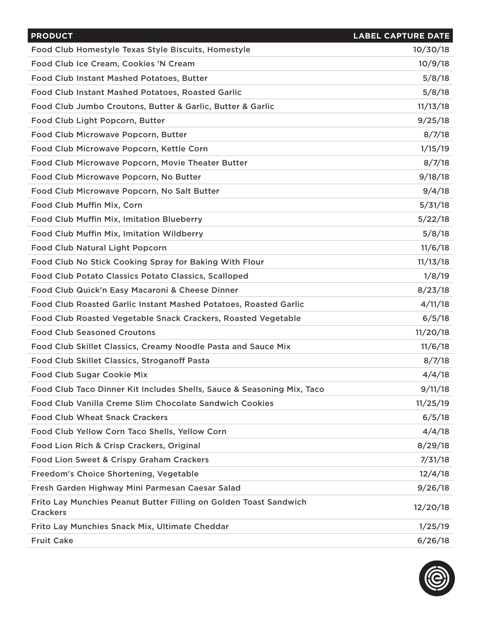| <b>PRODUCT</b>                                                                       | <b>LABEL CAPTURE DATE</b> |
|--------------------------------------------------------------------------------------|---------------------------|
| Food Club Homestyle Texas Style Biscuits, Homestyle                                  | 10/30/18                  |
| Food Club Ice Cream, Cookies 'N Cream                                                | 10/9/18                   |
| Food Club Instant Mashed Potatoes, Butter                                            | 5/8/18                    |
| Food Club Instant Mashed Potatoes, Roasted Garlic                                    | 5/8/18                    |
| Food Club Jumbo Croutons, Butter & Garlic, Butter & Garlic                           | 11/13/18                  |
| Food Club Light Popcorn, Butter                                                      | 9/25/18                   |
| Food Club Microwave Popcorn, Butter                                                  | 8/7/18                    |
| Food Club Microwave Popcorn, Kettle Corn                                             | 1/15/19                   |
| Food Club Microwave Popcorn, Movie Theater Butter                                    | 8/7/18                    |
| Food Club Microwave Popcorn, No Butter                                               | 9/18/18                   |
| Food Club Microwave Popcorn, No Salt Butter                                          | 9/4/18                    |
| Food Club Muffin Mix, Corn                                                           | 5/31/18                   |
| <b>Food Club Muffin Mix, Imitation Blueberry</b>                                     | 5/22/18                   |
| Food Club Muffin Mix, Imitation Wildberry                                            | 5/8/18                    |
| <b>Food Club Natural Light Popcorn</b>                                               | 11/6/18                   |
| Food Club No Stick Cooking Spray for Baking With Flour                               | 11/13/18                  |
| <b>Food Club Potato Classics Potato Classics, Scalloped</b>                          | 1/8/19                    |
| Food Club Quick'n Easy Macaroni & Cheese Dinner                                      | 8/23/18                   |
| Food Club Roasted Garlic Instant Mashed Potatoes, Roasted Garlic                     | 4/11/18                   |
| Food Club Roasted Vegetable Snack Crackers, Roasted Vegetable                        | 6/5/18                    |
| <b>Food Club Seasoned Croutons</b>                                                   | 11/20/18                  |
| Food Club Skillet Classics, Creamy Noodle Pasta and Sauce Mix                        | 11/6/18                   |
| Food Club Skillet Classics, Stroganoff Pasta                                         | 8/7/18                    |
| <b>Food Club Sugar Cookie Mix</b>                                                    | 4/4/18                    |
| Food Club Taco Dinner Kit Includes Shells, Sauce & Seasoning Mix, Taco               | 9/11/18                   |
| Food Club Vanilla Creme Slim Chocolate Sandwich Cookies                              | 11/25/19                  |
| <b>Food Club Wheat Snack Crackers</b>                                                | 6/5/18                    |
| Food Club Yellow Corn Taco Shells, Yellow Corn                                       | 4/4/18                    |
| Food Lion Rich & Crisp Crackers, Original                                            | 8/29/18                   |
| <b>Food Lion Sweet &amp; Crispy Graham Crackers</b>                                  | 7/31/18                   |
| Freedom's Choice Shortening, Vegetable                                               | 12/4/18                   |
| Fresh Garden Highway Mini Parmesan Caesar Salad                                      | 9/26/18                   |
| Frito Lay Munchies Peanut Butter Filling on Golden Toast Sandwich<br><b>Crackers</b> | 12/20/18                  |
| Frito Lay Munchies Snack Mix, Ultimate Cheddar                                       | 1/25/19                   |
| <b>Fruit Cake</b>                                                                    | 6/26/18                   |

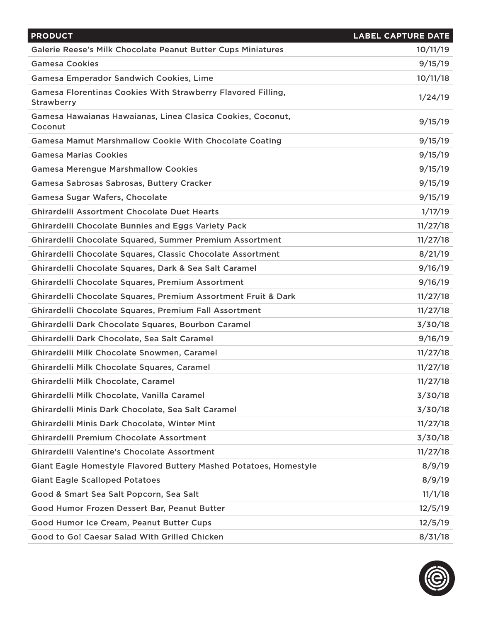| <b>PRODUCT</b>                                                                    | <b>LABEL CAPTURE DATE</b> |
|-----------------------------------------------------------------------------------|---------------------------|
| Galerie Reese's Milk Chocolate Peanut Butter Cups Miniatures                      | 10/11/19                  |
| <b>Gamesa Cookies</b>                                                             | 9/15/19                   |
| <b>Gamesa Emperador Sandwich Cookies, Lime</b>                                    | 10/11/18                  |
| Gamesa Florentinas Cookies With Strawberry Flavored Filling,<br><b>Strawberry</b> | 1/24/19                   |
| Gamesa Hawaianas Hawaianas, Linea Clasica Cookies, Coconut,<br>Coconut            | 9/15/19                   |
| <b>Gamesa Mamut Marshmallow Cookie With Chocolate Coating</b>                     | 9/15/19                   |
| <b>Gamesa Marias Cookies</b>                                                      | 9/15/19                   |
| <b>Gamesa Merengue Marshmallow Cookies</b>                                        | 9/15/19                   |
| Gamesa Sabrosas Sabrosas, Buttery Cracker                                         | 9/15/19                   |
| Gamesa Sugar Wafers, Chocolate                                                    | 9/15/19                   |
| <b>Ghirardelli Assortment Chocolate Duet Hearts</b>                               | 1/17/19                   |
| <b>Ghirardelli Chocolate Bunnies and Eggs Variety Pack</b>                        | 11/27/18                  |
| Ghirardelli Chocolate Squared, Summer Premium Assortment                          | 11/27/18                  |
| Ghirardelli Chocolate Squares, Classic Chocolate Assortment                       | 8/21/19                   |
| Ghirardelli Chocolate Squares, Dark & Sea Salt Caramel                            | 9/16/19                   |
| Ghirardelli Chocolate Squares, Premium Assortment                                 | 9/16/19                   |
| Ghirardelli Chocolate Squares, Premium Assortment Fruit & Dark                    | 11/27/18                  |
| Ghirardelli Chocolate Squares, Premium Fall Assortment                            | 11/27/18                  |
| Ghirardelli Dark Chocolate Squares, Bourbon Caramel                               | 3/30/18                   |
| Ghirardelli Dark Chocolate, Sea Salt Caramel                                      | 9/16/19                   |
| Ghirardelli Milk Chocolate Snowmen, Caramel                                       | 11/27/18                  |
| Ghirardelli Milk Chocolate Squares, Caramel                                       | 11/27/18                  |
| Ghirardelli Milk Chocolate, Caramel                                               | 11/27/18                  |
| Ghirardelli Milk Chocolate, Vanilla Caramel                                       | 3/30/18                   |
| Ghirardelli Minis Dark Chocolate, Sea Salt Caramel                                | 3/30/18                   |
| Ghirardelli Minis Dark Chocolate, Winter Mint                                     | 11/27/18                  |
| <b>Ghirardelli Premium Chocolate Assortment</b>                                   | 3/30/18                   |
| <b>Ghirardelli Valentine's Chocolate Assortment</b>                               | 11/27/18                  |
| Giant Eagle Homestyle Flavored Buttery Mashed Potatoes, Homestyle                 | 8/9/19                    |
| <b>Giant Eagle Scalloped Potatoes</b>                                             | 8/9/19                    |
| Good & Smart Sea Salt Popcorn, Sea Salt                                           | 11/1/18                   |
| Good Humor Frozen Dessert Bar, Peanut Butter                                      | 12/5/19                   |
| Good Humor Ice Cream, Peanut Butter Cups                                          | 12/5/19                   |
| Good to Go! Caesar Salad With Grilled Chicken                                     | 8/31/18                   |

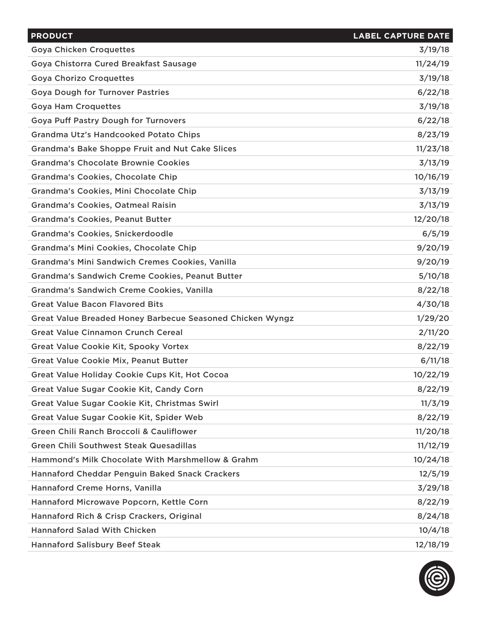| <b>PRODUCT</b>                                            | <b>LABEL CAPTURE DATE</b> |
|-----------------------------------------------------------|---------------------------|
| <b>Goya Chicken Croquettes</b>                            | 3/19/18                   |
| Goya Chistorra Cured Breakfast Sausage                    | 11/24/19                  |
| <b>Goya Chorizo Croquettes</b>                            | 3/19/18                   |
| <b>Goya Dough for Turnover Pastries</b>                   | 6/22/18                   |
| <b>Goya Ham Croquettes</b>                                | 3/19/18                   |
| <b>Goya Puff Pastry Dough for Turnovers</b>               | 6/22/18                   |
| Grandma Utz's Handcooked Potato Chips                     | 8/23/19                   |
| <b>Grandma's Bake Shoppe Fruit and Nut Cake Slices</b>    | 11/23/18                  |
| <b>Grandma's Chocolate Brownie Cookies</b>                | 3/13/19                   |
| <b>Grandma's Cookies, Chocolate Chip</b>                  | 10/16/19                  |
| Grandma's Cookies, Mini Chocolate Chip                    | 3/13/19                   |
| <b>Grandma's Cookies, Oatmeal Raisin</b>                  | 3/13/19                   |
| <b>Grandma's Cookies, Peanut Butter</b>                   | 12/20/18                  |
| Grandma's Cookies, Snickerdoodle                          | 6/5/19                    |
| Grandma's Mini Cookies, Chocolate Chip                    | 9/20/19                   |
| Grandma's Mini Sandwich Cremes Cookies, Vanilla           | 9/20/19                   |
| <b>Grandma's Sandwich Creme Cookies, Peanut Butter</b>    | 5/10/18                   |
| <b>Grandma's Sandwich Creme Cookies, Vanilla</b>          | 8/22/18                   |
| <b>Great Value Bacon Flavored Bits</b>                    | 4/30/18                   |
| Great Value Breaded Honey Barbecue Seasoned Chicken Wyngz | 1/29/20                   |
| <b>Great Value Cinnamon Crunch Cereal</b>                 | 2/11/20                   |
| <b>Great Value Cookie Kit, Spooky Vortex</b>              | 8/22/19                   |
| Great Value Cookie Mix, Peanut Butter                     | 6/11/18                   |
| Great Value Holiday Cookie Cups Kit, Hot Cocoa            | 10/22/19                  |
| Great Value Sugar Cookie Kit, Candy Corn                  | 8/22/19                   |
| Great Value Sugar Cookie Kit, Christmas Swirl             | 11/3/19                   |
| Great Value Sugar Cookie Kit, Spider Web                  | 8/22/19                   |
| Green Chili Ranch Broccoli & Cauliflower                  | 11/20/18                  |
| <b>Green Chili Southwest Steak Quesadillas</b>            | 11/12/19                  |
| Hammond's Milk Chocolate With Marshmellow & Grahm         | 10/24/18                  |
| <b>Hannaford Cheddar Penguin Baked Snack Crackers</b>     | 12/5/19                   |
| Hannaford Creme Horns, Vanilla                            | 3/29/18                   |
| Hannaford Microwave Popcorn, Kettle Corn                  | 8/22/19                   |
| Hannaford Rich & Crisp Crackers, Original                 | 8/24/18                   |
| <b>Hannaford Salad With Chicken</b>                       | 10/4/18                   |
| <b>Hannaford Salisbury Beef Steak</b>                     | 12/18/19                  |

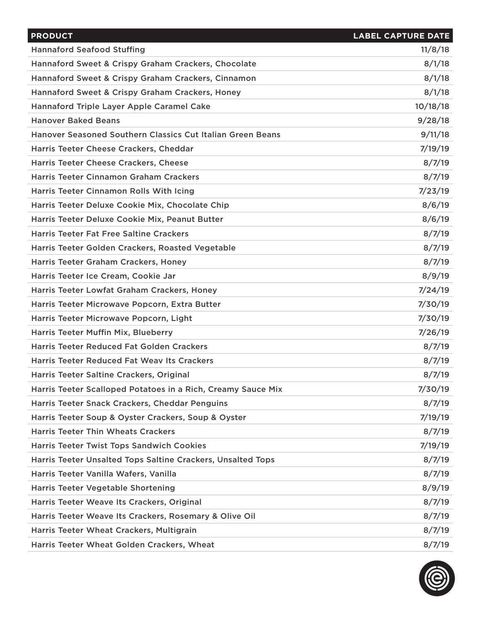| <b>PRODUCT</b>                                               | <b>LABEL CAPTURE DATE</b> |
|--------------------------------------------------------------|---------------------------|
| <b>Hannaford Seafood Stuffing</b>                            | 11/8/18                   |
| Hannaford Sweet & Crispy Graham Crackers, Chocolate          | 8/1/18                    |
| Hannaford Sweet & Crispy Graham Crackers, Cinnamon           | 8/1/18                    |
| Hannaford Sweet & Crispy Graham Crackers, Honey              | 8/1/18                    |
| Hannaford Triple Layer Apple Caramel Cake                    | 10/18/18                  |
| <b>Hanover Baked Beans</b>                                   | 9/28/18                   |
| Hanover Seasoned Southern Classics Cut Italian Green Beans   | 9/11/18                   |
| Harris Teeter Cheese Crackers, Cheddar                       | 7/19/19                   |
| Harris Teeter Cheese Crackers, Cheese                        | 8/7/19                    |
| <b>Harris Teeter Cinnamon Graham Crackers</b>                | 8/7/19                    |
| Harris Teeter Cinnamon Rolls With Icing                      | 7/23/19                   |
| Harris Teeter Deluxe Cookie Mix, Chocolate Chip              | 8/6/19                    |
| Harris Teeter Deluxe Cookie Mix, Peanut Butter               | 8/6/19                    |
| <b>Harris Teeter Fat Free Saltine Crackers</b>               | 8/7/19                    |
| Harris Teeter Golden Crackers, Roasted Vegetable             | 8/7/19                    |
| Harris Teeter Graham Crackers, Honey                         | 8/7/19                    |
| Harris Teeter Ice Cream, Cookie Jar                          | 8/9/19                    |
| Harris Teeter Lowfat Graham Crackers, Honey                  | 7/24/19                   |
| Harris Teeter Microwave Popcorn, Extra Butter                | 7/30/19                   |
| Harris Teeter Microwave Popcorn, Light                       | 7/30/19                   |
| Harris Teeter Muffin Mix, Blueberry                          | 7/26/19                   |
| <b>Harris Teeter Reduced Fat Golden Crackers</b>             | 8/7/19                    |
| <b>Harris Teeter Reduced Fat Weav Its Crackers</b>           | 8/7/19                    |
| Harris Teeter Saltine Crackers, Original                     | 8/7/19                    |
| Harris Teeter Scalloped Potatoes in a Rich, Creamy Sauce Mix | 7/30/19                   |
| Harris Teeter Snack Crackers, Cheddar Penguins               | 8/7/19                    |
| Harris Teeter Soup & Oyster Crackers, Soup & Oyster          | 7/19/19                   |
| <b>Harris Teeter Thin Wheats Crackers</b>                    | 8/7/19                    |
| <b>Harris Teeter Twist Tops Sandwich Cookies</b>             | 7/19/19                   |
| Harris Teeter Unsalted Tops Saltine Crackers, Unsalted Tops  | 8/7/19                    |
| Harris Teeter Vanilla Wafers, Vanilla                        | 8/7/19                    |
| Harris Teeter Vegetable Shortening                           | 8/9/19                    |
| Harris Teeter Weave Its Crackers, Original                   | 8/7/19                    |
| Harris Teeter Weave Its Crackers, Rosemary & Olive Oil       | 8/7/19                    |
| Harris Teeter Wheat Crackers, Multigrain                     | 8/7/19                    |
| Harris Teeter Wheat Golden Crackers, Wheat                   | 8/7/19                    |

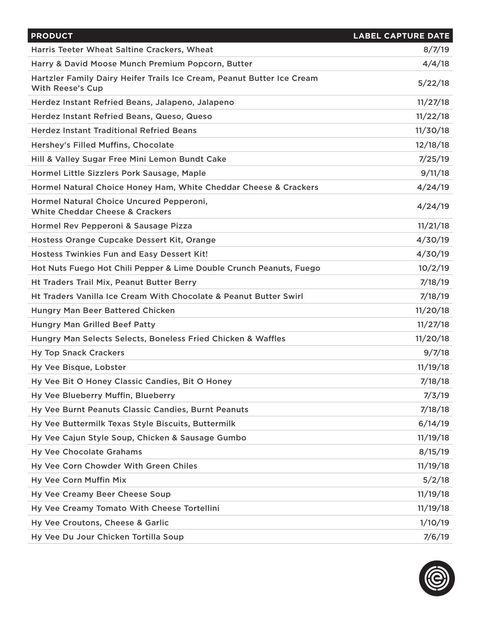| <b>PRODUCT</b>                                                                                    | <b>LABEL CAPTURE DATE</b> |
|---------------------------------------------------------------------------------------------------|---------------------------|
| Harris Teeter Wheat Saltine Crackers, Wheat                                                       | 8/7/19                    |
| Harry & David Moose Munch Premium Popcorn, Butter                                                 | 4/4/18                    |
| Hartzler Family Dairy Heifer Trails Ice Cream, Peanut Butter Ice Cream<br><b>With Reese's Cup</b> | 5/22/18                   |
| Herdez Instant Refried Beans, Jalapeno, Jalapeno                                                  | 11/27/18                  |
| Herdez Instant Refried Beans, Queso, Queso                                                        | 11/22/18                  |
| <b>Herdez Instant Traditional Refried Beans</b>                                                   | 11/30/18                  |
| Hershey's Filled Muffins, Chocolate                                                               | 12/18/18                  |
| Hill & Valley Sugar Free Mini Lemon Bundt Cake                                                    | 7/25/19                   |
| Hormel Little Sizzlers Pork Sausage, Maple                                                        | 9/11/18                   |
| Hormel Natural Choice Honey Ham, White Cheddar Cheese & Crackers                                  | 4/24/19                   |
| Hormel Natural Choice Uncured Pepperoni,<br><b>White Cheddar Cheese &amp; Crackers</b>            | 4/24/19                   |
| Hormel Rev Pepperoni & Sausage Pizza                                                              | 11/21/18                  |
| Hostess Orange Cupcake Dessert Kit, Orange                                                        | 4/30/19                   |
| Hostess Twinkies Fun and Easy Dessert Kit!                                                        | 4/30/19                   |
| Hot Nuts Fuego Hot Chili Pepper & Lime Double Crunch Peanuts, Fuego                               | 10/2/19                   |
| Ht Traders Trail Mix, Peanut Butter Berry                                                         | 7/18/19                   |
| Ht Traders Vanilla Ice Cream With Chocolate & Peanut Butter Swirl                                 | 7/18/19                   |
| Hungry Man Beer Battered Chicken                                                                  | 11/20/18                  |
| <b>Hungry Man Grilled Beef Patty</b>                                                              | 11/27/18                  |
| Hungry Man Selects Selects, Boneless Fried Chicken & Waffles                                      | 11/20/18                  |
| <b>Hy Top Snack Crackers</b>                                                                      | 9/7/18                    |
| Hy Vee Bisque, Lobster                                                                            | 11/19/18                  |
| Hy Vee Bit O Honey Classic Candies, Bit O Honey                                                   | 7/18/18                   |
| Hy Vee Blueberry Muffin, Blueberry                                                                | 7/3/19                    |
| Hy Vee Burnt Peanuts Classic Candies, Burnt Peanuts                                               | 7/18/18                   |
| Hy Vee Buttermilk Texas Style Biscuits, Buttermilk                                                | 6/14/19                   |
| Hy Vee Cajun Style Soup, Chicken & Sausage Gumbo                                                  | 11/19/18                  |
| <b>Hy Vee Chocolate Grahams</b>                                                                   | 8/15/19                   |
| Hy Vee Corn Chowder With Green Chiles                                                             | 11/19/18                  |
| Hy Vee Corn Muffin Mix                                                                            | 5/2/18                    |
| Hy Vee Creamy Beer Cheese Soup                                                                    | 11/19/18                  |
| Hy Vee Creamy Tomato With Cheese Tortellini                                                       | 11/19/18                  |
| Hy Vee Croutons, Cheese & Garlic                                                                  | 1/10/19                   |
| Hy Vee Du Jour Chicken Tortilla Soup                                                              | 7/6/19                    |

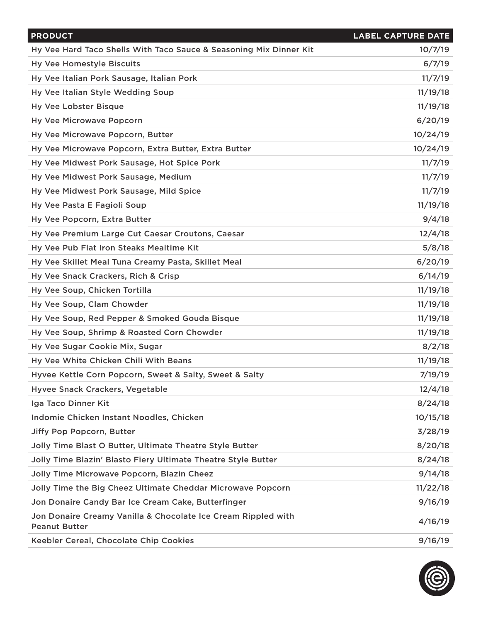| <b>PRODUCT</b>                                                                        | <b>LABEL CAPTURE DATE</b> |
|---------------------------------------------------------------------------------------|---------------------------|
| Hy Vee Hard Taco Shells With Taco Sauce & Seasoning Mix Dinner Kit                    | 10/7/19                   |
| <b>Hy Vee Homestyle Biscuits</b>                                                      | 6/7/19                    |
| Hy Vee Italian Pork Sausage, Italian Pork                                             | 11/7/19                   |
| Hy Vee Italian Style Wedding Soup                                                     | 11/19/18                  |
| <b>Hy Vee Lobster Bisque</b>                                                          | 11/19/18                  |
| <b>Hy Vee Microwave Popcorn</b>                                                       | 6/20/19                   |
| Hy Vee Microwave Popcorn, Butter                                                      | 10/24/19                  |
| Hy Vee Microwave Popcorn, Extra Butter, Extra Butter                                  | 10/24/19                  |
| Hy Vee Midwest Pork Sausage, Hot Spice Pork                                           | 11/7/19                   |
| Hy Vee Midwest Pork Sausage, Medium                                                   | 11/7/19                   |
| Hy Vee Midwest Pork Sausage, Mild Spice                                               | 11/7/19                   |
| Hy Vee Pasta E Fagioli Soup                                                           | 11/19/18                  |
| Hy Vee Popcorn, Extra Butter                                                          | 9/4/18                    |
| Hy Vee Premium Large Cut Caesar Croutons, Caesar                                      | 12/4/18                   |
| Hy Vee Pub Flat Iron Steaks Mealtime Kit                                              | 5/8/18                    |
| Hy Vee Skillet Meal Tuna Creamy Pasta, Skillet Meal                                   | 6/20/19                   |
| Hy Vee Snack Crackers, Rich & Crisp                                                   | 6/14/19                   |
| Hy Vee Soup, Chicken Tortilla                                                         | 11/19/18                  |
| Hy Vee Soup, Clam Chowder                                                             | 11/19/18                  |
| Hy Vee Soup, Red Pepper & Smoked Gouda Bisque                                         | 11/19/18                  |
| Hy Vee Soup, Shrimp & Roasted Corn Chowder                                            | 11/19/18                  |
| Hy Vee Sugar Cookie Mix, Sugar                                                        | 8/2/18                    |
| Hy Vee White Chicken Chili With Beans                                                 | 11/19/18                  |
| Hyvee Kettle Corn Popcorn, Sweet & Salty, Sweet & Salty                               | 7/19/19                   |
| Hyvee Snack Crackers, Vegetable                                                       | 12/4/18                   |
| Iga Taco Dinner Kit                                                                   | 8/24/18                   |
| Indomie Chicken Instant Noodles, Chicken                                              | 10/15/18                  |
| <b>Jiffy Pop Popcorn, Butter</b>                                                      | 3/28/19                   |
| Jolly Time Blast O Butter, Ultimate Theatre Style Butter                              | 8/20/18                   |
| Jolly Time Blazin' Blasto Fiery Ultimate Theatre Style Butter                         | 8/24/18                   |
| Jolly Time Microwave Popcorn, Blazin Cheez                                            | 9/14/18                   |
| Jolly Time the Big Cheez Ultimate Cheddar Microwave Popcorn                           | 11/22/18                  |
| Jon Donaire Candy Bar Ice Cream Cake, Butterfinger                                    | 9/16/19                   |
| Jon Donaire Creamy Vanilla & Chocolate Ice Cream Rippled with<br><b>Peanut Butter</b> | 4/16/19                   |
| Keebler Cereal, Chocolate Chip Cookies                                                | 9/16/19                   |

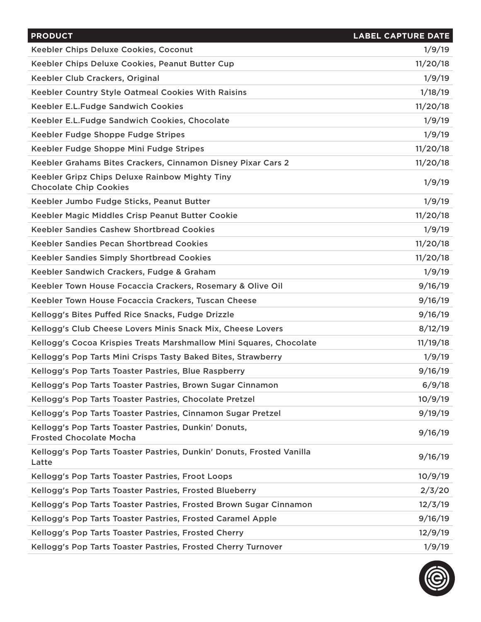| <b>PRODUCT</b>                                                                          | <b>LABEL CAPTURE DATE</b> |
|-----------------------------------------------------------------------------------------|---------------------------|
| Keebler Chips Deluxe Cookies, Coconut                                                   | 1/9/19                    |
| Keebler Chips Deluxe Cookies, Peanut Butter Cup                                         | 11/20/18                  |
| Keebler Club Crackers, Original                                                         | 1/9/19                    |
| Keebler Country Style Oatmeal Cookies With Raisins                                      | 1/18/19                   |
| <b>Keebler E.L.Fudge Sandwich Cookies</b>                                               | 11/20/18                  |
| Keebler E.L.Fudge Sandwich Cookies, Chocolate                                           | 1/9/19                    |
| Keebler Fudge Shoppe Fudge Stripes                                                      | 1/9/19                    |
| Keebler Fudge Shoppe Mini Fudge Stripes                                                 | 11/20/18                  |
| Keebler Grahams Bites Crackers, Cinnamon Disney Pixar Cars 2                            | 11/20/18                  |
| Keebler Gripz Chips Deluxe Rainbow Mighty Tiny<br><b>Chocolate Chip Cookies</b>         | 1/9/19                    |
| Keebler Jumbo Fudge Sticks, Peanut Butter                                               | 1/9/19                    |
| Keebler Magic Middles Crisp Peanut Butter Cookie                                        | 11/20/18                  |
| <b>Keebler Sandies Cashew Shortbread Cookies</b>                                        | 1/9/19                    |
| Keebler Sandies Pecan Shortbread Cookies                                                | 11/20/18                  |
| <b>Keebler Sandies Simply Shortbread Cookies</b>                                        | 11/20/18                  |
| Keebler Sandwich Crackers, Fudge & Graham                                               | 1/9/19                    |
| Keebler Town House Focaccia Crackers, Rosemary & Olive Oil                              | 9/16/19                   |
| Keebler Town House Focaccia Crackers, Tuscan Cheese                                     | 9/16/19                   |
| Kellogg's Bites Puffed Rice Snacks, Fudge Drizzle                                       | 9/16/19                   |
| Kellogg's Club Cheese Lovers Minis Snack Mix, Cheese Lovers                             | 8/12/19                   |
| Kellogg's Cocoa Krispies Treats Marshmallow Mini Squares, Chocolate                     | 11/19/18                  |
| Kellogg's Pop Tarts Mini Crisps Tasty Baked Bites, Strawberry                           | 1/9/19                    |
| Kellogg's Pop Tarts Toaster Pastries, Blue Raspberry                                    | 9/16/19                   |
| Kellogg's Pop Tarts Toaster Pastries, Brown Sugar Cinnamon                              | 6/9/18                    |
| Kellogg's Pop Tarts Toaster Pastries, Chocolate Pretzel                                 | 10/9/19                   |
| Kellogg's Pop Tarts Toaster Pastries, Cinnamon Sugar Pretzel                            | 9/19/19                   |
| Kellogg's Pop Tarts Toaster Pastries, Dunkin' Donuts,<br><b>Frosted Chocolate Mocha</b> | 9/16/19                   |
| Kellogg's Pop Tarts Toaster Pastries, Dunkin' Donuts, Frosted Vanilla<br>Latte          | 9/16/19                   |
| Kellogg's Pop Tarts Toaster Pastries, Froot Loops                                       | 10/9/19                   |
| Kellogg's Pop Tarts Toaster Pastries, Frosted Blueberry                                 | 2/3/20                    |
| Kellogg's Pop Tarts Toaster Pastries, Frosted Brown Sugar Cinnamon                      | 12/3/19                   |
| Kellogg's Pop Tarts Toaster Pastries, Frosted Caramel Apple                             | 9/16/19                   |
| Kellogg's Pop Tarts Toaster Pastries, Frosted Cherry                                    | 12/9/19                   |
| Kellogg's Pop Tarts Toaster Pastries, Frosted Cherry Turnover                           | 1/9/19                    |

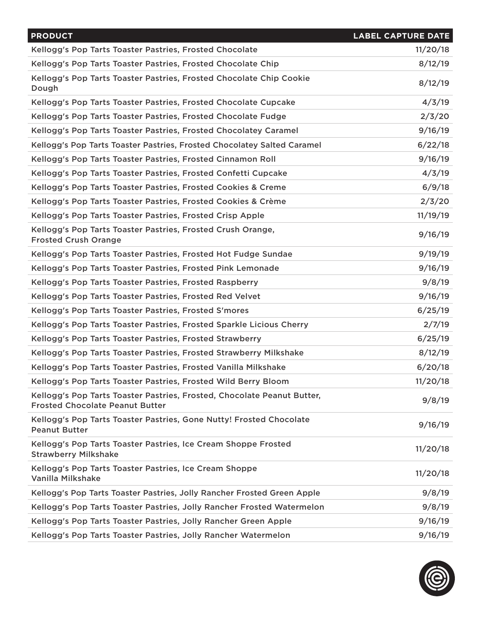| <b>PRODUCT</b>                                                                                                    | <b>LABEL CAPTURE DATE</b> |
|-------------------------------------------------------------------------------------------------------------------|---------------------------|
| Kellogg's Pop Tarts Toaster Pastries, Frosted Chocolate                                                           | 11/20/18                  |
| Kellogg's Pop Tarts Toaster Pastries, Frosted Chocolate Chip                                                      | 8/12/19                   |
| Kellogg's Pop Tarts Toaster Pastries, Frosted Chocolate Chip Cookie<br>Dough                                      | 8/12/19                   |
| Kellogg's Pop Tarts Toaster Pastries, Frosted Chocolate Cupcake                                                   | 4/3/19                    |
| Kellogg's Pop Tarts Toaster Pastries, Frosted Chocolate Fudge                                                     | 2/3/20                    |
| Kellogg's Pop Tarts Toaster Pastries, Frosted Chocolatey Caramel                                                  | 9/16/19                   |
| Kellogg's Pop Tarts Toaster Pastries, Frosted Chocolatey Salted Caramel                                           | 6/22/18                   |
| Kellogg's Pop Tarts Toaster Pastries, Frosted Cinnamon Roll                                                       | 9/16/19                   |
| Kellogg's Pop Tarts Toaster Pastries, Frosted Confetti Cupcake                                                    | 4/3/19                    |
| Kellogg's Pop Tarts Toaster Pastries, Frosted Cookies & Creme                                                     | 6/9/18                    |
| Kellogg's Pop Tarts Toaster Pastries, Frosted Cookies & Crème                                                     | 2/3/20                    |
| Kellogg's Pop Tarts Toaster Pastries, Frosted Crisp Apple                                                         | 11/19/19                  |
| Kellogg's Pop Tarts Toaster Pastries, Frosted Crush Orange,<br><b>Frosted Crush Orange</b>                        | 9/16/19                   |
| Kellogg's Pop Tarts Toaster Pastries, Frosted Hot Fudge Sundae                                                    | 9/19/19                   |
| Kellogg's Pop Tarts Toaster Pastries, Frosted Pink Lemonade                                                       | 9/16/19                   |
| Kellogg's Pop Tarts Toaster Pastries, Frosted Raspberry                                                           | 9/8/19                    |
| Kellogg's Pop Tarts Toaster Pastries, Frosted Red Velvet                                                          | 9/16/19                   |
| Kellogg's Pop Tarts Toaster Pastries, Frosted S'mores                                                             | 6/25/19                   |
| Kellogg's Pop Tarts Toaster Pastries, Frosted Sparkle Licious Cherry                                              | 2/7/19                    |
| Kellogg's Pop Tarts Toaster Pastries, Frosted Strawberry                                                          | 6/25/19                   |
| Kellogg's Pop Tarts Toaster Pastries, Frosted Strawberry Milkshake                                                | 8/12/19                   |
| Kellogg's Pop Tarts Toaster Pastries, Frosted Vanilla Milkshake                                                   | 6/20/18                   |
| Kellogg's Pop Tarts Toaster Pastries, Frosted Wild Berry Bloom                                                    | 11/20/18                  |
| Kellogg's Pop Tarts Toaster Pastries, Frosted, Chocolate Peanut Butter,<br><b>Frosted Chocolate Peanut Butter</b> | 9/8/19                    |
| Kellogg's Pop Tarts Toaster Pastries, Gone Nutty! Frosted Chocolate<br><b>Peanut Butter</b>                       | 9/16/19                   |
| Kellogg's Pop Tarts Toaster Pastries, Ice Cream Shoppe Frosted<br><b>Strawberry Milkshake</b>                     | 11/20/18                  |
| Kellogg's Pop Tarts Toaster Pastries, Ice Cream Shoppe<br>Vanilla Milkshake                                       | 11/20/18                  |
| Kellogg's Pop Tarts Toaster Pastries, Jolly Rancher Frosted Green Apple                                           | 9/8/19                    |
| Kellogg's Pop Tarts Toaster Pastries, Jolly Rancher Frosted Watermelon                                            | 9/8/19                    |
| Kellogg's Pop Tarts Toaster Pastries, Jolly Rancher Green Apple                                                   | 9/16/19                   |
| Kellogg's Pop Tarts Toaster Pastries, Jolly Rancher Watermelon                                                    | 9/16/19                   |

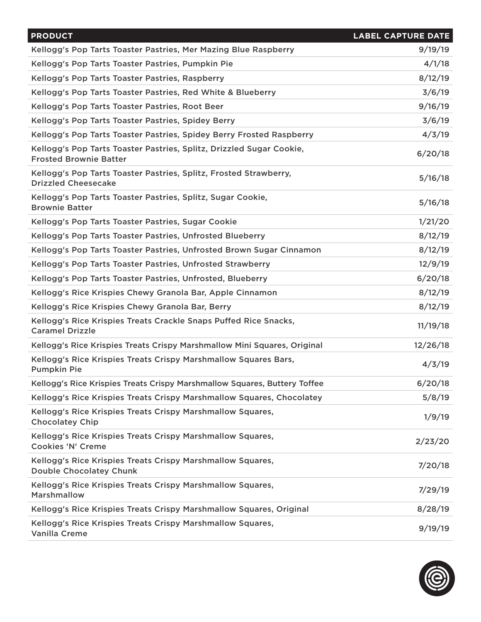| <b>PRODUCT</b>                                                                                        | <b>LABEL CAPTURE DATE</b> |
|-------------------------------------------------------------------------------------------------------|---------------------------|
| Kellogg's Pop Tarts Toaster Pastries, Mer Mazing Blue Raspberry                                       | 9/19/19                   |
| Kellogg's Pop Tarts Toaster Pastries, Pumpkin Pie                                                     | 4/1/18                    |
| Kellogg's Pop Tarts Toaster Pastries, Raspberry                                                       | 8/12/19                   |
| Kellogg's Pop Tarts Toaster Pastries, Red White & Blueberry                                           | 3/6/19                    |
| Kellogg's Pop Tarts Toaster Pastries, Root Beer                                                       | 9/16/19                   |
| Kellogg's Pop Tarts Toaster Pastries, Spidey Berry                                                    | 3/6/19                    |
| Kellogg's Pop Tarts Toaster Pastries, Spidey Berry Frosted Raspberry                                  | 4/3/19                    |
| Kellogg's Pop Tarts Toaster Pastries, Splitz, Drizzled Sugar Cookie,<br><b>Frosted Brownie Batter</b> | 6/20/18                   |
| Kellogg's Pop Tarts Toaster Pastries, Splitz, Frosted Strawberry,<br><b>Drizzled Cheesecake</b>       | 5/16/18                   |
| Kellogg's Pop Tarts Toaster Pastries, Splitz, Sugar Cookie,<br><b>Brownie Batter</b>                  | 5/16/18                   |
| Kellogg's Pop Tarts Toaster Pastries, Sugar Cookie                                                    | 1/21/20                   |
| Kellogg's Pop Tarts Toaster Pastries, Unfrosted Blueberry                                             | 8/12/19                   |
| Kellogg's Pop Tarts Toaster Pastries, Unfrosted Brown Sugar Cinnamon                                  | 8/12/19                   |
| Kellogg's Pop Tarts Toaster Pastries, Unfrosted Strawberry                                            | 12/9/19                   |
| Kellogg's Pop Tarts Toaster Pastries, Unfrosted, Blueberry                                            | 6/20/18                   |
| Kellogg's Rice Krispies Chewy Granola Bar, Apple Cinnamon                                             | 8/12/19                   |
| Kellogg's Rice Krispies Chewy Granola Bar, Berry                                                      | 8/12/19                   |
| Kellogg's Rice Krispies Treats Crackle Snaps Puffed Rice Snacks,<br><b>Caramel Drizzle</b>            | 11/19/18                  |
| Kellogg's Rice Krispies Treats Crispy Marshmallow Mini Squares, Original                              | 12/26/18                  |
| Kellogg's Rice Krispies Treats Crispy Marshmallow Squares Bars,<br><b>Pumpkin Pie</b>                 | 4/3/19                    |
| Kellogg's Rice Krispies Treats Crispy Marshmallow Squares, Buttery Toffee                             | 6/20/18                   |
| Kellogg's Rice Krispies Treats Crispy Marshmallow Squares, Chocolatey                                 | 5/8/19                    |
| Kellogg's Rice Krispies Treats Crispy Marshmallow Squares,<br><b>Chocolatey Chip</b>                  | 1/9/19                    |
| Kellogg's Rice Krispies Treats Crispy Marshmallow Squares,<br><b>Cookies 'N' Creme</b>                | 2/23/20                   |
| Kellogg's Rice Krispies Treats Crispy Marshmallow Squares,<br><b>Double Chocolatey Chunk</b>          | 7/20/18                   |
| Kellogg's Rice Krispies Treats Crispy Marshmallow Squares,<br><b>Marshmallow</b>                      | 7/29/19                   |
| Kellogg's Rice Krispies Treats Crispy Marshmallow Squares, Original                                   | 8/28/19                   |
| Kellogg's Rice Krispies Treats Crispy Marshmallow Squares,<br><b>Vanilla Creme</b>                    | 9/19/19                   |

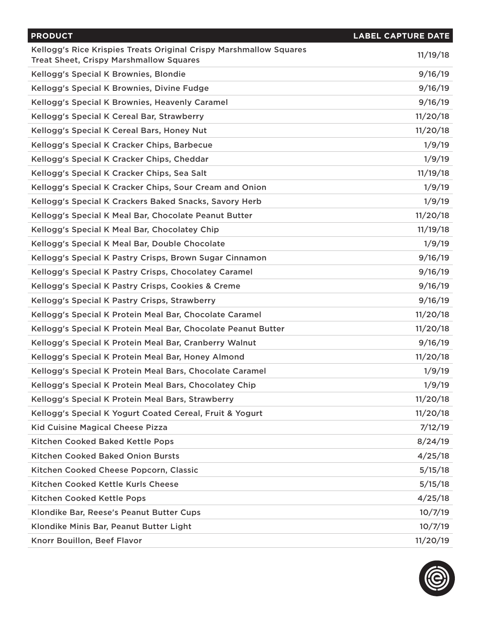| <b>PRODUCT</b>                                                                                                       | <b>LABEL CAPTURE DATE</b> |
|----------------------------------------------------------------------------------------------------------------------|---------------------------|
| Kellogg's Rice Krispies Treats Original Crispy Marshmallow Squares<br><b>Treat Sheet, Crispy Marshmallow Squares</b> | 11/19/18                  |
| Kellogg's Special K Brownies, Blondie                                                                                | 9/16/19                   |
| Kellogg's Special K Brownies, Divine Fudge                                                                           | 9/16/19                   |
| Kellogg's Special K Brownies, Heavenly Caramel                                                                       | 9/16/19                   |
| Kellogg's Special K Cereal Bar, Strawberry                                                                           | 11/20/18                  |
| Kellogg's Special K Cereal Bars, Honey Nut                                                                           | 11/20/18                  |
| Kellogg's Special K Cracker Chips, Barbecue                                                                          | 1/9/19                    |
| Kellogg's Special K Cracker Chips, Cheddar                                                                           | 1/9/19                    |
| Kellogg's Special K Cracker Chips, Sea Salt                                                                          | 11/19/18                  |
| Kellogg's Special K Cracker Chips, Sour Cream and Onion                                                              | 1/9/19                    |
| Kellogg's Special K Crackers Baked Snacks, Savory Herb                                                               | 1/9/19                    |
| Kellogg's Special K Meal Bar, Chocolate Peanut Butter                                                                | 11/20/18                  |
| Kellogg's Special K Meal Bar, Chocolatey Chip                                                                        | 11/19/18                  |
| Kellogg's Special K Meal Bar, Double Chocolate                                                                       | 1/9/19                    |
| Kellogg's Special K Pastry Crisps, Brown Sugar Cinnamon                                                              | 9/16/19                   |
| Kellogg's Special K Pastry Crisps, Chocolatey Caramel                                                                | 9/16/19                   |
| Kellogg's Special K Pastry Crisps, Cookies & Creme                                                                   | 9/16/19                   |
| Kellogg's Special K Pastry Crisps, Strawberry                                                                        | 9/16/19                   |
| Kellogg's Special K Protein Meal Bar, Chocolate Caramel                                                              | 11/20/18                  |
| Kellogg's Special K Protein Meal Bar, Chocolate Peanut Butter                                                        | 11/20/18                  |
| Kellogg's Special K Protein Meal Bar, Cranberry Walnut                                                               | 9/16/19                   |
| Kellogg's Special K Protein Meal Bar, Honey Almond                                                                   | 11/20/18                  |
| Kellogg's Special K Protein Meal Bars, Chocolate Caramel                                                             | 1/9/19                    |
| Kellogg's Special K Protein Meal Bars, Chocolatey Chip                                                               | 1/9/19                    |
| Kellogg's Special K Protein Meal Bars, Strawberry                                                                    | 11/20/18                  |
| Kellogg's Special K Yogurt Coated Cereal, Fruit & Yogurt                                                             | 11/20/18                  |
| Kid Cuisine Magical Cheese Pizza                                                                                     | 7/12/19                   |
| Kitchen Cooked Baked Kettle Pops                                                                                     | 8/24/19                   |
| <b>Kitchen Cooked Baked Onion Bursts</b>                                                                             | 4/25/18                   |
| Kitchen Cooked Cheese Popcorn, Classic                                                                               | 5/15/18                   |
| Kitchen Cooked Kettle Kurls Cheese                                                                                   | 5/15/18                   |
| Kitchen Cooked Kettle Pops                                                                                           | 4/25/18                   |
| Klondike Bar, Reese's Peanut Butter Cups                                                                             | 10/7/19                   |
| Klondike Minis Bar, Peanut Butter Light                                                                              | 10/7/19                   |
| Knorr Bouillon, Beef Flavor                                                                                          | 11/20/19                  |

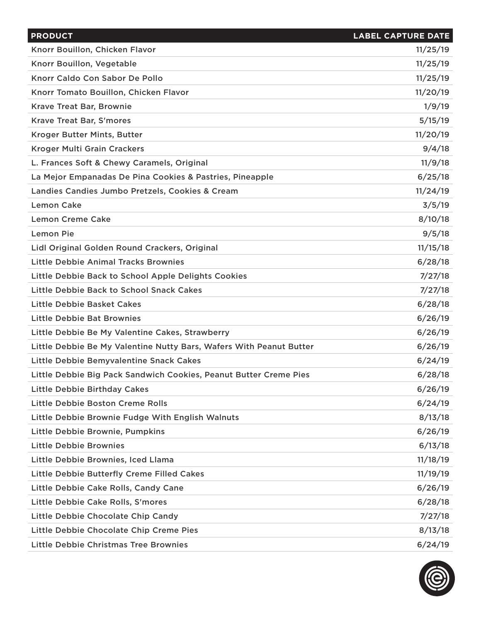| <b>PRODUCT</b>                                                      | <b>LABEL CAPTURE DATE</b> |
|---------------------------------------------------------------------|---------------------------|
| Knorr Bouillon, Chicken Flavor                                      | 11/25/19                  |
| Knorr Bouillon, Vegetable                                           | 11/25/19                  |
| Knorr Caldo Con Sabor De Pollo                                      | 11/25/19                  |
| Knorr Tomato Bouillon, Chicken Flavor                               | 11/20/19                  |
| Krave Treat Bar, Brownie                                            | 1/9/19                    |
| <b>Krave Treat Bar, S'mores</b>                                     | 5/15/19                   |
| Kroger Butter Mints, Butter                                         | 11/20/19                  |
| <b>Kroger Multi Grain Crackers</b>                                  | 9/4/18                    |
| L. Frances Soft & Chewy Caramels, Original                          | 11/9/18                   |
| La Mejor Empanadas De Pina Cookies & Pastries, Pineapple            | 6/25/18                   |
| Landies Candies Jumbo Pretzels, Cookies & Cream                     | 11/24/19                  |
| <b>Lemon Cake</b>                                                   | 3/5/19                    |
| <b>Lemon Creme Cake</b>                                             | 8/10/18                   |
| Lemon Pie                                                           | 9/5/18                    |
| Lidl Original Golden Round Crackers, Original                       | 11/15/18                  |
| <b>Little Debbie Animal Tracks Brownies</b>                         | 6/28/18                   |
| Little Debbie Back to School Apple Delights Cookies                 | 7/27/18                   |
| Little Debbie Back to School Snack Cakes                            | 7/27/18                   |
| Little Debbie Basket Cakes                                          | 6/28/18                   |
| <b>Little Debbie Bat Brownies</b>                                   | 6/26/19                   |
| Little Debbie Be My Valentine Cakes, Strawberry                     | 6/26/19                   |
| Little Debbie Be My Valentine Nutty Bars, Wafers With Peanut Butter | 6/26/19                   |
| Little Debbie Bemyvalentine Snack Cakes                             | 6/24/19                   |
| Little Debbie Big Pack Sandwich Cookies, Peanut Butter Creme Pies   | 6/28/18                   |
| <b>Little Debbie Birthday Cakes</b>                                 | 6/26/19                   |
| Little Debbie Boston Creme Rolls                                    | 6/24/19                   |
| Little Debbie Brownie Fudge With English Walnuts                    | 8/13/18                   |
| Little Debbie Brownie, Pumpkins                                     | 6/26/19                   |
| <b>Little Debbie Brownies</b>                                       | 6/13/18                   |
| Little Debbie Brownies, Iced Llama                                  | 11/18/19                  |
| Little Debbie Butterfly Creme Filled Cakes                          | 11/19/19                  |
| Little Debbie Cake Rolls, Candy Cane                                | 6/26/19                   |
| Little Debbie Cake Rolls, S'mores                                   | 6/28/18                   |
| Little Debbie Chocolate Chip Candy                                  | 7/27/18                   |
| Little Debbie Chocolate Chip Creme Pies                             | 8/13/18                   |
| Little Debbie Christmas Tree Brownies                               | 6/24/19                   |

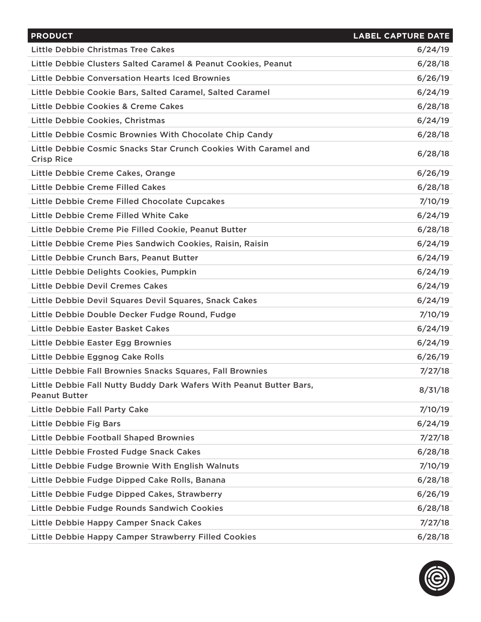| <b>PRODUCT</b>                                                                              | <b>LABEL CAPTURE DATE</b> |
|---------------------------------------------------------------------------------------------|---------------------------|
| Little Debbie Christmas Tree Cakes                                                          | 6/24/19                   |
| Little Debbie Clusters Salted Caramel & Peanut Cookies, Peanut                              | 6/28/18                   |
| Little Debbie Conversation Hearts Iced Brownies                                             | 6/26/19                   |
| Little Debbie Cookie Bars, Salted Caramel, Salted Caramel                                   | 6/24/19                   |
| Little Debbie Cookies & Creme Cakes                                                         | 6/28/18                   |
| Little Debbie Cookies, Christmas                                                            | 6/24/19                   |
| Little Debbie Cosmic Brownies With Chocolate Chip Candy                                     | 6/28/18                   |
| Little Debbie Cosmic Snacks Star Crunch Cookies With Caramel and<br><b>Crisp Rice</b>       | 6/28/18                   |
| Little Debbie Creme Cakes, Orange                                                           | 6/26/19                   |
| Little Debbie Creme Filled Cakes                                                            | 6/28/18                   |
| Little Debbie Creme Filled Chocolate Cupcakes                                               | 7/10/19                   |
| Little Debbie Creme Filled White Cake                                                       | 6/24/19                   |
| Little Debbie Creme Pie Filled Cookie, Peanut Butter                                        | 6/28/18                   |
| Little Debbie Creme Pies Sandwich Cookies, Raisin, Raisin                                   | 6/24/19                   |
| Little Debbie Crunch Bars, Peanut Butter                                                    | 6/24/19                   |
| Little Debbie Delights Cookies, Pumpkin                                                     | 6/24/19                   |
| <b>Little Debbie Devil Cremes Cakes</b>                                                     | 6/24/19                   |
| Little Debbie Devil Squares Devil Squares, Snack Cakes                                      | 6/24/19                   |
| Little Debbie Double Decker Fudge Round, Fudge                                              | 7/10/19                   |
| Little Debbie Easter Basket Cakes                                                           | 6/24/19                   |
| Little Debbie Easter Egg Brownies                                                           | 6/24/19                   |
| Little Debbie Eggnog Cake Rolls                                                             | 6/26/19                   |
| Little Debbie Fall Brownies Snacks Squares, Fall Brownies                                   | 7/27/18                   |
| Little Debbie Fall Nutty Buddy Dark Wafers With Peanut Butter Bars,<br><b>Peanut Butter</b> | 8/31/18                   |
| <b>Little Debbie Fall Party Cake</b>                                                        | 7/10/19                   |
| <b>Little Debbie Fig Bars</b>                                                               | 6/24/19                   |
| <b>Little Debbie Football Shaped Brownies</b>                                               | 7/27/18                   |
| Little Debbie Frosted Fudge Snack Cakes                                                     | 6/28/18                   |
| Little Debbie Fudge Brownie With English Walnuts                                            | 7/10/19                   |
| Little Debbie Fudge Dipped Cake Rolls, Banana                                               | 6/28/18                   |
| Little Debbie Fudge Dipped Cakes, Strawberry                                                | 6/26/19                   |
| Little Debbie Fudge Rounds Sandwich Cookies                                                 | 6/28/18                   |
| Little Debbie Happy Camper Snack Cakes                                                      | 7/27/18                   |
| Little Debbie Happy Camper Strawberry Filled Cookies                                        | 6/28/18                   |

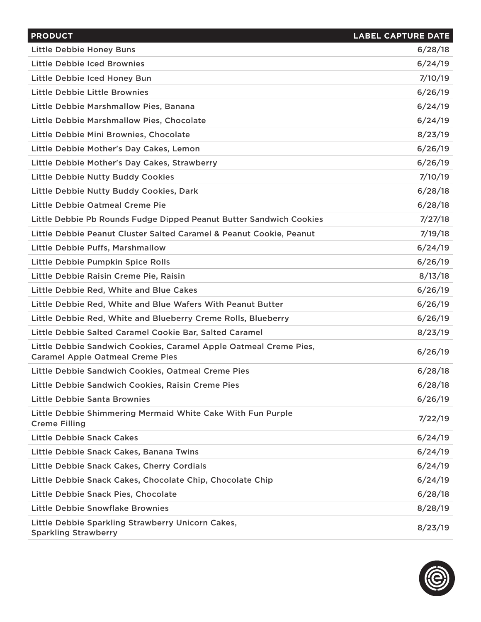| <b>PRODUCT</b>                                                                                               | <b>LABEL CAPTURE DATE</b> |
|--------------------------------------------------------------------------------------------------------------|---------------------------|
| <b>Little Debbie Honey Buns</b>                                                                              | 6/28/18                   |
| Little Debbie Iced Brownies                                                                                  | 6/24/19                   |
| Little Debbie Iced Honey Bun                                                                                 | 7/10/19                   |
| Little Debbie Little Brownies                                                                                | 6/26/19                   |
| Little Debbie Marshmallow Pies, Banana                                                                       | 6/24/19                   |
| Little Debbie Marshmallow Pies, Chocolate                                                                    | 6/24/19                   |
| Little Debbie Mini Brownies, Chocolate                                                                       | 8/23/19                   |
| Little Debbie Mother's Day Cakes, Lemon                                                                      | 6/26/19                   |
| Little Debbie Mother's Day Cakes, Strawberry                                                                 | 6/26/19                   |
| <b>Little Debbie Nutty Buddy Cookies</b>                                                                     | 7/10/19                   |
| Little Debbie Nutty Buddy Cookies, Dark                                                                      | 6/28/18                   |
| Little Debbie Oatmeal Creme Pie                                                                              | 6/28/18                   |
| Little Debbie Pb Rounds Fudge Dipped Peanut Butter Sandwich Cookies                                          | 7/27/18                   |
| Little Debbie Peanut Cluster Salted Caramel & Peanut Cookie, Peanut                                          | 7/19/18                   |
| Little Debbie Puffs, Marshmallow                                                                             | 6/24/19                   |
| Little Debbie Pumpkin Spice Rolls                                                                            | 6/26/19                   |
| Little Debbie Raisin Creme Pie, Raisin                                                                       | 8/13/18                   |
| Little Debbie Red, White and Blue Cakes                                                                      | 6/26/19                   |
| Little Debbie Red, White and Blue Wafers With Peanut Butter                                                  | 6/26/19                   |
| Little Debbie Red, White and Blueberry Creme Rolls, Blueberry                                                | 6/26/19                   |
| Little Debbie Salted Caramel Cookie Bar, Salted Caramel                                                      | 8/23/19                   |
| Little Debbie Sandwich Cookies, Caramel Apple Oatmeal Creme Pies,<br><b>Caramel Apple Oatmeal Creme Pies</b> | 6/26/19                   |
| Little Debbie Sandwich Cookies, Oatmeal Creme Pies                                                           | 6/28/18                   |
| Little Debbie Sandwich Cookies, Raisin Creme Pies                                                            | 6/28/18                   |
| <b>Little Debbie Santa Brownies</b>                                                                          | 6/26/19                   |
| Little Debbie Shimmering Mermaid White Cake With Fun Purple<br><b>Creme Filling</b>                          | 7/22/19                   |
| <b>Little Debbie Snack Cakes</b>                                                                             | 6/24/19                   |
| Little Debbie Snack Cakes, Banana Twins                                                                      | 6/24/19                   |
| Little Debbie Snack Cakes, Cherry Cordials                                                                   | 6/24/19                   |
| Little Debbie Snack Cakes, Chocolate Chip, Chocolate Chip                                                    | 6/24/19                   |
| Little Debbie Snack Pies, Chocolate                                                                          | 6/28/18                   |
| Little Debbie Snowflake Brownies                                                                             | 8/28/19                   |
| Little Debbie Sparkling Strawberry Unicorn Cakes,<br><b>Sparkling Strawberry</b>                             | 8/23/19                   |

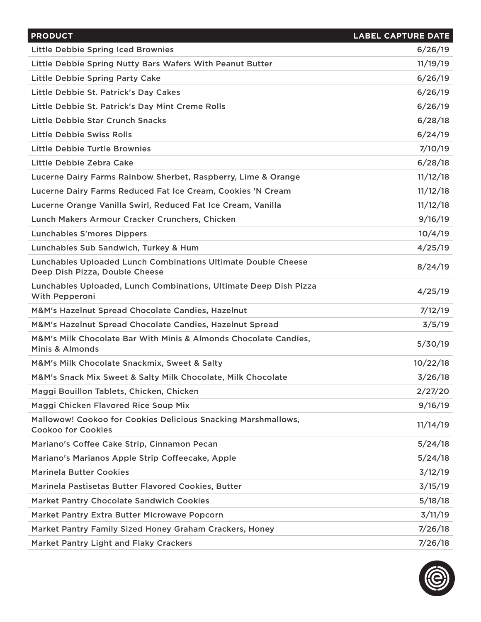| <b>PRODUCT</b>                                                                                         | <b>LABEL CAPTURE DATE</b> |
|--------------------------------------------------------------------------------------------------------|---------------------------|
| <b>Little Debbie Spring Iced Brownies</b>                                                              | 6/26/19                   |
| Little Debbie Spring Nutty Bars Wafers With Peanut Butter                                              | 11/19/19                  |
| <b>Little Debbie Spring Party Cake</b>                                                                 | 6/26/19                   |
| Little Debbie St. Patrick's Day Cakes                                                                  | 6/26/19                   |
| Little Debbie St. Patrick's Day Mint Creme Rolls                                                       | 6/26/19                   |
| Little Debbie Star Crunch Snacks                                                                       | 6/28/18                   |
| Little Debbie Swiss Rolls                                                                              | 6/24/19                   |
| Little Debbie Turtle Brownies                                                                          | 7/10/19                   |
| Little Debbie Zebra Cake                                                                               | 6/28/18                   |
| Lucerne Dairy Farms Rainbow Sherbet, Raspberry, Lime & Orange                                          | 11/12/18                  |
| Lucerne Dairy Farms Reduced Fat Ice Cream, Cookies 'N Cream                                            | 11/12/18                  |
| Lucerne Orange Vanilla Swirl, Reduced Fat Ice Cream, Vanilla                                           | 11/12/18                  |
| Lunch Makers Armour Cracker Crunchers, Chicken                                                         | 9/16/19                   |
| <b>Lunchables S'mores Dippers</b>                                                                      | 10/4/19                   |
| Lunchables Sub Sandwich, Turkey & Hum                                                                  | 4/25/19                   |
| <b>Lunchables Uploaded Lunch Combinations Ultimate Double Cheese</b><br>Deep Dish Pizza, Double Cheese | 8/24/19                   |
| Lunchables Uploaded, Lunch Combinations, Ultimate Deep Dish Pizza<br>With Pepperoni                    | 4/25/19                   |
| M&M's Hazelnut Spread Chocolate Candies, Hazelnut                                                      | 7/12/19                   |
| M&M's Hazelnut Spread Chocolate Candies, Hazelnut Spread                                               | 3/5/19                    |
| M&M's Milk Chocolate Bar With Minis & Almonds Chocolate Candies,<br>Minis & Almonds                    | 5/30/19                   |
| M&M's Milk Chocolate Snackmix, Sweet & Salty                                                           | 10/22/18                  |
| M&M's Snack Mix Sweet & Salty Milk Chocolate, Milk Chocolate                                           | 3/26/18                   |
| Maggi Bouillon Tablets, Chicken, Chicken                                                               | 2/27/20                   |
| Maggi Chicken Flavored Rice Soup Mix                                                                   | 9/16/19                   |
| Mallowow! Cookoo for Cookies Delicious Snacking Marshmallows,<br><b>Cookoo for Cookies</b>             | 11/14/19                  |
| Mariano's Coffee Cake Strip, Cinnamon Pecan                                                            | 5/24/18                   |
| Mariano's Marianos Apple Strip Coffeecake, Apple                                                       | 5/24/18                   |
| <b>Marinela Butter Cookies</b>                                                                         | 3/12/19                   |
| Marinela Pastisetas Butter Flavored Cookies, Butter                                                    | 3/15/19                   |
| <b>Market Pantry Chocolate Sandwich Cookies</b>                                                        | 5/18/18                   |
| Market Pantry Extra Butter Microwave Popcorn                                                           | 3/11/19                   |
| Market Pantry Family Sized Honey Graham Crackers, Honey                                                | 7/26/18                   |
| Market Pantry Light and Flaky Crackers                                                                 | 7/26/18                   |

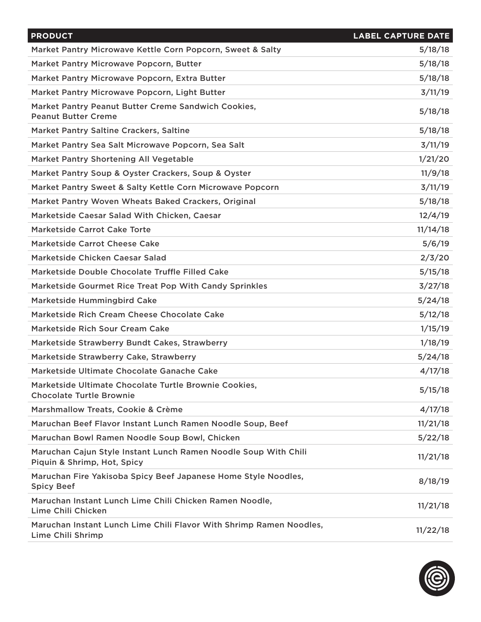| <b>PRODUCT</b>                                                                                 | <b>LABEL CAPTURE DATE</b> |
|------------------------------------------------------------------------------------------------|---------------------------|
| Market Pantry Microwave Kettle Corn Popcorn, Sweet & Salty                                     | 5/18/18                   |
| Market Pantry Microwave Popcorn, Butter                                                        | 5/18/18                   |
| Market Pantry Microwave Popcorn, Extra Butter                                                  | 5/18/18                   |
| Market Pantry Microwave Popcorn, Light Butter                                                  | 3/11/19                   |
| Market Pantry Peanut Butter Creme Sandwich Cookies,<br><b>Peanut Butter Creme</b>              | 5/18/18                   |
| <b>Market Pantry Saltine Crackers, Saltine</b>                                                 | 5/18/18                   |
| Market Pantry Sea Salt Microwave Popcorn, Sea Salt                                             | 3/11/19                   |
| Market Pantry Shortening All Vegetable                                                         | 1/21/20                   |
| Market Pantry Soup & Oyster Crackers, Soup & Oyster                                            | 11/9/18                   |
| Market Pantry Sweet & Salty Kettle Corn Microwave Popcorn                                      | 3/11/19                   |
| Market Pantry Woven Wheats Baked Crackers, Original                                            | 5/18/18                   |
| Marketside Caesar Salad With Chicken, Caesar                                                   | 12/4/19                   |
| <b>Marketside Carrot Cake Torte</b>                                                            | 11/14/18                  |
| <b>Marketside Carrot Cheese Cake</b>                                                           | 5/6/19                    |
| Marketside Chicken Caesar Salad                                                                | 2/3/20                    |
| Marketside Double Chocolate Truffle Filled Cake                                                | 5/15/18                   |
| Marketside Gourmet Rice Treat Pop With Candy Sprinkles                                         | 3/27/18                   |
| <b>Marketside Hummingbird Cake</b>                                                             | 5/24/18                   |
| Marketside Rich Cream Cheese Chocolate Cake                                                    | 5/12/18                   |
| Marketside Rich Sour Cream Cake                                                                | 1/15/19                   |
| Marketside Strawberry Bundt Cakes, Strawberry                                                  | 1/18/19                   |
| Marketside Strawberry Cake, Strawberry                                                         | 5/24/18                   |
| Marketside Ultimate Chocolate Ganache Cake                                                     | 4/17/18                   |
| Marketside Ultimate Chocolate Turtle Brownie Cookies,<br><b>Chocolate Turtle Brownie</b>       | 5/15/18                   |
| Marshmallow Treats, Cookie & Crème                                                             | 4/17/18                   |
| Maruchan Beef Flavor Instant Lunch Ramen Noodle Soup, Beef                                     | 11/21/18                  |
| Maruchan Bowl Ramen Noodle Soup Bowl, Chicken                                                  | 5/22/18                   |
| Maruchan Cajun Style Instant Lunch Ramen Noodle Soup With Chili<br>Piquin & Shrimp, Hot, Spicy | 11/21/18                  |
| Maruchan Fire Yakisoba Spicy Beef Japanese Home Style Noodles,<br><b>Spicy Beef</b>            | 8/18/19                   |
| Maruchan Instant Lunch Lime Chili Chicken Ramen Noodle,<br>Lime Chili Chicken                  | 11/21/18                  |
| Maruchan Instant Lunch Lime Chili Flavor With Shrimp Ramen Noodles,<br>Lime Chili Shrimp       | 11/22/18                  |

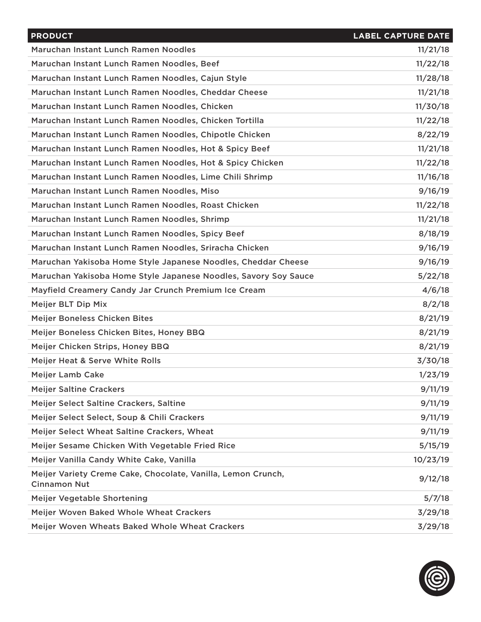| <b>PRODUCT</b>                                                                      | <b>LABEL CAPTURE DATE</b> |
|-------------------------------------------------------------------------------------|---------------------------|
| Maruchan Instant Lunch Ramen Noodles                                                | 11/21/18                  |
| Maruchan Instant Lunch Ramen Noodles, Beef                                          | 11/22/18                  |
| Maruchan Instant Lunch Ramen Noodles, Cajun Style                                   | 11/28/18                  |
| Maruchan Instant Lunch Ramen Noodles, Cheddar Cheese                                | 11/21/18                  |
| Maruchan Instant Lunch Ramen Noodles, Chicken                                       | 11/30/18                  |
| Maruchan Instant Lunch Ramen Noodles, Chicken Tortilla                              | 11/22/18                  |
| Maruchan Instant Lunch Ramen Noodles, Chipotle Chicken                              | 8/22/19                   |
| Maruchan Instant Lunch Ramen Noodles, Hot & Spicy Beef                              | 11/21/18                  |
| Maruchan Instant Lunch Ramen Noodles, Hot & Spicy Chicken                           | 11/22/18                  |
| Maruchan Instant Lunch Ramen Noodles, Lime Chili Shrimp                             | 11/16/18                  |
| Maruchan Instant Lunch Ramen Noodles, Miso                                          | 9/16/19                   |
| Maruchan Instant Lunch Ramen Noodles, Roast Chicken                                 | 11/22/18                  |
| Maruchan Instant Lunch Ramen Noodles, Shrimp                                        | 11/21/18                  |
| Maruchan Instant Lunch Ramen Noodles, Spicy Beef                                    | 8/18/19                   |
| Maruchan Instant Lunch Ramen Noodles, Sriracha Chicken                              | 9/16/19                   |
| Maruchan Yakisoba Home Style Japanese Noodles, Cheddar Cheese                       | 9/16/19                   |
| Maruchan Yakisoba Home Style Japanese Noodles, Savory Soy Sauce                     | 5/22/18                   |
| Mayfield Creamery Candy Jar Crunch Premium Ice Cream                                | 4/6/18                    |
| Meijer BLT Dip Mix                                                                  | 8/2/18                    |
| Meijer Boneless Chicken Bites                                                       | 8/21/19                   |
| Meijer Boneless Chicken Bites, Honey BBQ                                            | 8/21/19                   |
| Meijer Chicken Strips, Honey BBQ                                                    | 8/21/19                   |
| Meijer Heat & Serve White Rolls                                                     | 3/30/18                   |
| <b>Meijer Lamb Cake</b>                                                             | 1/23/19                   |
| <b>Meijer Saltine Crackers</b>                                                      | 9/11/19                   |
| Meijer Select Saltine Crackers, Saltine                                             | 9/11/19                   |
| Meijer Select Select, Soup & Chili Crackers                                         | 9/11/19                   |
| Meijer Select Wheat Saltine Crackers, Wheat                                         | 9/11/19                   |
| Meijer Sesame Chicken With Vegetable Fried Rice                                     | 5/15/19                   |
| Meijer Vanilla Candy White Cake, Vanilla                                            | 10/23/19                  |
| Meijer Variety Creme Cake, Chocolate, Vanilla, Lemon Crunch,<br><b>Cinnamon Nut</b> | 9/12/18                   |
| Meijer Vegetable Shortening                                                         | 5/7/18                    |
| Meijer Woven Baked Whole Wheat Crackers                                             | 3/29/18                   |
| Meijer Woven Wheats Baked Whole Wheat Crackers                                      | 3/29/18                   |

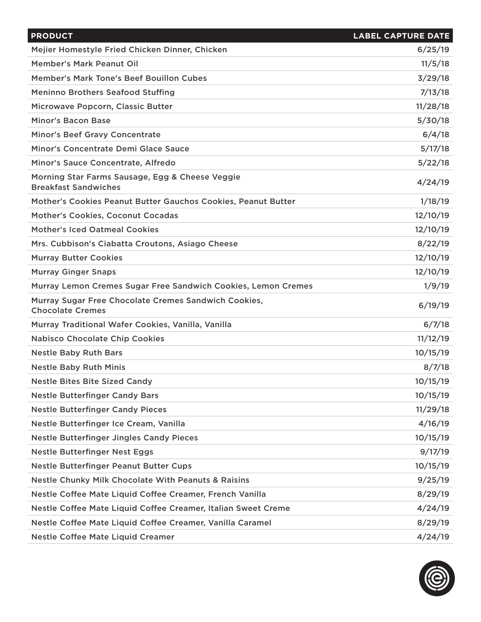| <b>PRODUCT</b>                                                                  | <b>LABEL CAPTURE DATE</b> |
|---------------------------------------------------------------------------------|---------------------------|
| Mejier Homestyle Fried Chicken Dinner, Chicken                                  | 6/25/19                   |
| <b>Member's Mark Peanut Oil</b>                                                 | 11/5/18                   |
| Member's Mark Tone's Beef Bouillon Cubes                                        | 3/29/18                   |
| <b>Meninno Brothers Seafood Stuffing</b>                                        | 7/13/18                   |
| Microwave Popcorn, Classic Butter                                               | 11/28/18                  |
| <b>Minor's Bacon Base</b>                                                       | 5/30/18                   |
| <b>Minor's Beef Gravy Concentrate</b>                                           | 6/4/18                    |
| Minor's Concentrate Demi Glace Sauce                                            | 5/17/18                   |
| Minor's Sauce Concentrate, Alfredo                                              | 5/22/18                   |
| Morning Star Farms Sausage, Egg & Cheese Veggie<br><b>Breakfast Sandwiches</b>  | 4/24/19                   |
| Mother's Cookies Peanut Butter Gauchos Cookies, Peanut Butter                   | 1/18/19                   |
| Mother's Cookies, Coconut Cocadas                                               | 12/10/19                  |
| <b>Mother's Iced Oatmeal Cookies</b>                                            | 12/10/19                  |
| Mrs. Cubbison's Ciabatta Croutons, Asiago Cheese                                | 8/22/19                   |
| <b>Murray Butter Cookies</b>                                                    | 12/10/19                  |
| <b>Murray Ginger Snaps</b>                                                      | 12/10/19                  |
| Murray Lemon Cremes Sugar Free Sandwich Cookies, Lemon Cremes                   | 1/9/19                    |
| Murray Sugar Free Chocolate Cremes Sandwich Cookies,<br><b>Chocolate Cremes</b> | 6/19/19                   |
| Murray Traditional Wafer Cookies, Vanilla, Vanilla                              | 6/7/18                    |
| <b>Nabisco Chocolate Chip Cookies</b>                                           | 11/12/19                  |
| <b>Nestle Baby Ruth Bars</b>                                                    | 10/15/19                  |
| <b>Nestle Baby Ruth Minis</b>                                                   | 8/7/18                    |
| <b>Nestle Bites Bite Sized Candy</b>                                            | 10/15/19                  |
| <b>Nestle Butterfinger Candy Bars</b>                                           | 10/15/19                  |
| <b>Nestle Butterfinger Candy Pieces</b>                                         | 11/29/18                  |
| Nestle Butterfinger Ice Cream, Vanilla                                          | 4/16/19                   |
| <b>Nestle Butterfinger Jingles Candy Pieces</b>                                 | 10/15/19                  |
| <b>Nestle Butterfinger Nest Eggs</b>                                            | 9/17/19                   |
| <b>Nestle Butterfinger Peanut Butter Cups</b>                                   | 10/15/19                  |
| <b>Nestle Chunky Milk Chocolate With Peanuts &amp; Raisins</b>                  | 9/25/19                   |
| Nestle Coffee Mate Liquid Coffee Creamer, French Vanilla                        | 8/29/19                   |
| Nestle Coffee Mate Liquid Coffee Creamer, Italian Sweet Creme                   | 4/24/19                   |
| Nestle Coffee Mate Liquid Coffee Creamer, Vanilla Caramel                       | 8/29/19                   |
| <b>Nestle Coffee Mate Liquid Creamer</b>                                        | 4/24/19                   |

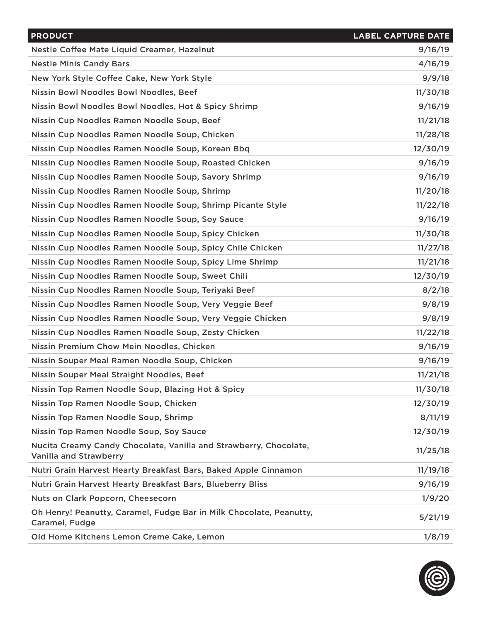| <b>PRODUCT</b>                                                                                     | <b>LABEL CAPTURE DATE</b> |
|----------------------------------------------------------------------------------------------------|---------------------------|
| Nestle Coffee Mate Liquid Creamer, Hazelnut                                                        | 9/16/19                   |
| <b>Nestle Minis Candy Bars</b>                                                                     | 4/16/19                   |
| New York Style Coffee Cake, New York Style                                                         | 9/9/18                    |
| Nissin Bowl Noodles Bowl Noodles, Beef                                                             | 11/30/18                  |
| Nissin Bowl Noodles Bowl Noodles, Hot & Spicy Shrimp                                               | 9/16/19                   |
| Nissin Cup Noodles Ramen Noodle Soup, Beef                                                         | 11/21/18                  |
| Nissin Cup Noodles Ramen Noodle Soup, Chicken                                                      | 11/28/18                  |
| Nissin Cup Noodles Ramen Noodle Soup, Korean Bbq                                                   | 12/30/19                  |
| Nissin Cup Noodles Ramen Noodle Soup, Roasted Chicken                                              | 9/16/19                   |
| Nissin Cup Noodles Ramen Noodle Soup, Savory Shrimp                                                | 9/16/19                   |
| Nissin Cup Noodles Ramen Noodle Soup, Shrimp                                                       | 11/20/18                  |
| Nissin Cup Noodles Ramen Noodle Soup, Shrimp Picante Style                                         | 11/22/18                  |
| Nissin Cup Noodles Ramen Noodle Soup, Soy Sauce                                                    | 9/16/19                   |
| Nissin Cup Noodles Ramen Noodle Soup, Spicy Chicken                                                | 11/30/18                  |
| Nissin Cup Noodles Ramen Noodle Soup, Spicy Chile Chicken                                          | 11/27/18                  |
| Nissin Cup Noodles Ramen Noodle Soup, Spicy Lime Shrimp                                            | 11/21/18                  |
| Nissin Cup Noodles Ramen Noodle Soup, Sweet Chili                                                  | 12/30/19                  |
| Nissin Cup Noodles Ramen Noodle Soup, Teriyaki Beef                                                | 8/2/18                    |
| Nissin Cup Noodles Ramen Noodle Soup, Very Veggie Beef                                             | 9/8/19                    |
| Nissin Cup Noodles Ramen Noodle Soup, Very Veggie Chicken                                          | 9/8/19                    |
| Nissin Cup Noodles Ramen Noodle Soup, Zesty Chicken                                                | 11/22/18                  |
| Nissin Premium Chow Mein Noodles, Chicken                                                          | 9/16/19                   |
| Nissin Souper Meal Ramen Noodle Soup, Chicken                                                      | 9/16/19                   |
| Nissin Souper Meal Straight Noodles, Beef                                                          | 11/21/18                  |
| Nissin Top Ramen Noodle Soup, Blazing Hot & Spicy                                                  | 11/30/18                  |
| Nissin Top Ramen Noodle Soup, Chicken                                                              | 12/30/19                  |
| Nissin Top Ramen Noodle Soup, Shrimp                                                               | 8/11/19                   |
| Nissin Top Ramen Noodle Soup, Soy Sauce                                                            | 12/30/19                  |
| Nucita Creamy Candy Chocolate, Vanilla and Strawberry, Chocolate,<br><b>Vanilla and Strawberry</b> | 11/25/18                  |
| Nutri Grain Harvest Hearty Breakfast Bars, Baked Apple Cinnamon                                    | 11/19/18                  |
| Nutri Grain Harvest Hearty Breakfast Bars, Blueberry Bliss                                         | 9/16/19                   |
| Nuts on Clark Popcorn, Cheesecorn                                                                  | 1/9/20                    |
| Oh Henry! Peanutty, Caramel, Fudge Bar in Milk Chocolate, Peanutty,<br>Caramel, Fudge              | 5/21/19                   |
| Old Home Kitchens Lemon Creme Cake, Lemon                                                          | 1/8/19                    |

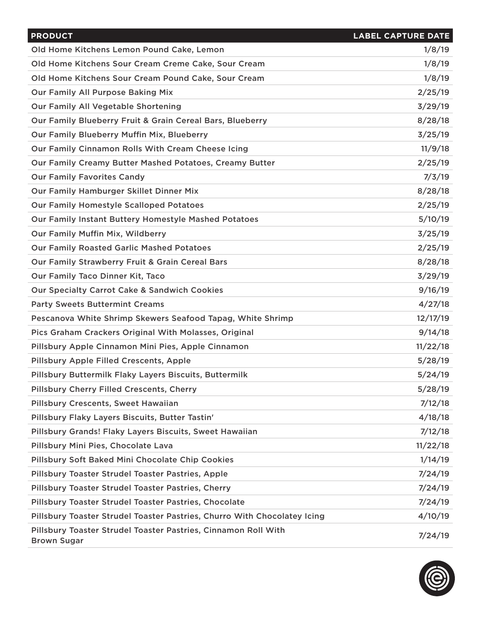| <b>PRODUCT</b>                                                                       | <b>LABEL CAPTURE DATE</b> |
|--------------------------------------------------------------------------------------|---------------------------|
| Old Home Kitchens Lemon Pound Cake, Lemon                                            | 1/8/19                    |
| Old Home Kitchens Sour Cream Creme Cake, Sour Cream                                  | 1/8/19                    |
| Old Home Kitchens Sour Cream Pound Cake, Sour Cream                                  | 1/8/19                    |
| <b>Our Family All Purpose Baking Mix</b>                                             | 2/25/19                   |
| Our Family All Vegetable Shortening                                                  | 3/29/19                   |
| Our Family Blueberry Fruit & Grain Cereal Bars, Blueberry                            | 8/28/18                   |
| Our Family Blueberry Muffin Mix, Blueberry                                           | 3/25/19                   |
| Our Family Cinnamon Rolls With Cream Cheese Icing                                    | 11/9/18                   |
| Our Family Creamy Butter Mashed Potatoes, Creamy Butter                              | 2/25/19                   |
| <b>Our Family Favorites Candy</b>                                                    | 7/3/19                    |
| Our Family Hamburger Skillet Dinner Mix                                              | 8/28/18                   |
| <b>Our Family Homestyle Scalloped Potatoes</b>                                       | 2/25/19                   |
| Our Family Instant Buttery Homestyle Mashed Potatoes                                 | 5/10/19                   |
| Our Family Muffin Mix, Wildberry                                                     | 3/25/19                   |
| <b>Our Family Roasted Garlic Mashed Potatoes</b>                                     | 2/25/19                   |
| Our Family Strawberry Fruit & Grain Cereal Bars                                      | 8/28/18                   |
| Our Family Taco Dinner Kit, Taco                                                     | 3/29/19                   |
| <b>Our Specialty Carrot Cake &amp; Sandwich Cookies</b>                              | 9/16/19                   |
| <b>Party Sweets Buttermint Creams</b>                                                | 4/27/18                   |
| Pescanova White Shrimp Skewers Seafood Tapag, White Shrimp                           | 12/17/19                  |
| Pics Graham Crackers Original With Molasses, Original                                | 9/14/18                   |
| Pillsbury Apple Cinnamon Mini Pies, Apple Cinnamon                                   | 11/22/18                  |
| <b>Pillsbury Apple Filled Crescents, Apple</b>                                       | 5/28/19                   |
| Pillsbury Buttermilk Flaky Layers Biscuits, Buttermilk                               | 5/24/19                   |
| Pillsbury Cherry Filled Crescents, Cherry                                            | 5/28/19                   |
| Pillsbury Crescents, Sweet Hawaiian                                                  | 7/12/18                   |
| Pillsbury Flaky Layers Biscuits, Butter Tastin'                                      | 4/18/18                   |
| Pillsbury Grands! Flaky Layers Biscuits, Sweet Hawaiian                              | 7/12/18                   |
| Pillsbury Mini Pies, Chocolate Lava                                                  | 11/22/18                  |
| Pillsbury Soft Baked Mini Chocolate Chip Cookies                                     | 1/14/19                   |
| Pillsbury Toaster Strudel Toaster Pastries, Apple                                    | 7/24/19                   |
| Pillsbury Toaster Strudel Toaster Pastries, Cherry                                   | 7/24/19                   |
| Pillsbury Toaster Strudel Toaster Pastries, Chocolate                                | 7/24/19                   |
| Pillsbury Toaster Strudel Toaster Pastries, Churro With Chocolatey Icing             | 4/10/19                   |
| Pillsbury Toaster Strudel Toaster Pastries, Cinnamon Roll With<br><b>Brown Sugar</b> | 7/24/19                   |

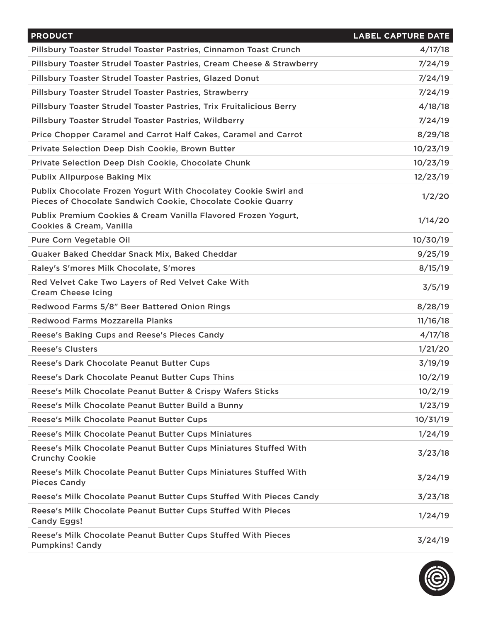| <b>PRODUCT</b>                                                                                                                  | <b>LABEL CAPTURE DATE</b> |
|---------------------------------------------------------------------------------------------------------------------------------|---------------------------|
| Pillsbury Toaster Strudel Toaster Pastries, Cinnamon Toast Crunch                                                               | 4/17/18                   |
| Pillsbury Toaster Strudel Toaster Pastries, Cream Cheese & Strawberry                                                           | 7/24/19                   |
| Pillsbury Toaster Strudel Toaster Pastries, Glazed Donut                                                                        | 7/24/19                   |
| Pillsbury Toaster Strudel Toaster Pastries, Strawberry                                                                          | 7/24/19                   |
| Pillsbury Toaster Strudel Toaster Pastries, Trix Fruitalicious Berry                                                            | 4/18/18                   |
| Pillsbury Toaster Strudel Toaster Pastries, Wildberry                                                                           | 7/24/19                   |
| Price Chopper Caramel and Carrot Half Cakes, Caramel and Carrot                                                                 | 8/29/18                   |
| Private Selection Deep Dish Cookie, Brown Butter                                                                                | 10/23/19                  |
| Private Selection Deep Dish Cookie, Chocolate Chunk                                                                             | 10/23/19                  |
| <b>Publix Allpurpose Baking Mix</b>                                                                                             | 12/23/19                  |
| Publix Chocolate Frozen Yogurt With Chocolatey Cookie Swirl and<br>Pieces of Chocolate Sandwich Cookie, Chocolate Cookie Quarry | 1/2/20                    |
| Publix Premium Cookies & Cream Vanilla Flavored Frozen Yogurt,<br><b>Cookies &amp; Cream, Vanilla</b>                           | 1/14/20                   |
| Pure Corn Vegetable Oil                                                                                                         | 10/30/19                  |
| Quaker Baked Cheddar Snack Mix, Baked Cheddar                                                                                   | 9/25/19                   |
| Raley's S'mores Milk Chocolate, S'mores                                                                                         | 8/15/19                   |
| Red Velvet Cake Two Layers of Red Velvet Cake With<br><b>Cream Cheese Icing</b>                                                 | 3/5/19                    |
| Redwood Farms 5/8" Beer Battered Onion Rings                                                                                    | 8/28/19                   |
| Redwood Farms Mozzarella Planks                                                                                                 | 11/16/18                  |
| Reese's Baking Cups and Reese's Pieces Candy                                                                                    | 4/17/18                   |
| <b>Reese's Clusters</b>                                                                                                         | 1/21/20                   |
| Reese's Dark Chocolate Peanut Butter Cups                                                                                       | 3/19/19                   |
| Reese's Dark Chocolate Peanut Butter Cups Thins                                                                                 | 10/2/19                   |
| Reese's Milk Chocolate Peanut Butter & Crispy Wafers Sticks                                                                     | 10/2/19                   |
| Reese's Milk Chocolate Peanut Butter Build a Bunny                                                                              | 1/23/19                   |
| Reese's Milk Chocolate Peanut Butter Cups                                                                                       | 10/31/19                  |
| Reese's Milk Chocolate Peanut Butter Cups Miniatures                                                                            | 1/24/19                   |
| Reese's Milk Chocolate Peanut Butter Cups Miniatures Stuffed With<br><b>Crunchy Cookie</b>                                      | 3/23/18                   |
| Reese's Milk Chocolate Peanut Butter Cups Miniatures Stuffed With<br><b>Pieces Candy</b>                                        | 3/24/19                   |
| Reese's Milk Chocolate Peanut Butter Cups Stuffed With Pieces Candy                                                             | 3/23/18                   |
| Reese's Milk Chocolate Peanut Butter Cups Stuffed With Pieces<br><b>Candy Eggs!</b>                                             | 1/24/19                   |
| Reese's Milk Chocolate Peanut Butter Cups Stuffed With Pieces<br><b>Pumpkins! Candy</b>                                         | 3/24/19                   |

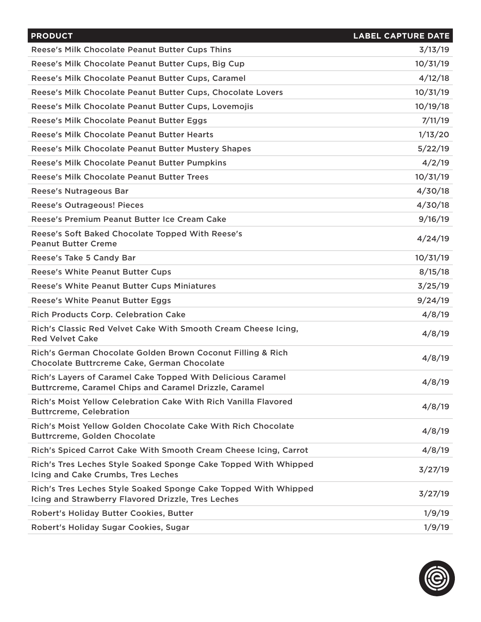| <b>PRODUCT</b>                                                                                                        | <b>LABEL CAPTURE DATE</b> |
|-----------------------------------------------------------------------------------------------------------------------|---------------------------|
| Reese's Milk Chocolate Peanut Butter Cups Thins                                                                       | 3/13/19                   |
| Reese's Milk Chocolate Peanut Butter Cups, Big Cup                                                                    | 10/31/19                  |
| Reese's Milk Chocolate Peanut Butter Cups, Caramel                                                                    | 4/12/18                   |
| Reese's Milk Chocolate Peanut Butter Cups, Chocolate Lovers                                                           | 10/31/19                  |
| Reese's Milk Chocolate Peanut Butter Cups, Lovemojis                                                                  | 10/19/18                  |
| Reese's Milk Chocolate Peanut Butter Eggs                                                                             | 7/11/19                   |
| Reese's Milk Chocolate Peanut Butter Hearts                                                                           | 1/13/20                   |
| Reese's Milk Chocolate Peanut Butter Mustery Shapes                                                                   | 5/22/19                   |
| Reese's Milk Chocolate Peanut Butter Pumpkins                                                                         | 4/2/19                    |
| <b>Reese's Milk Chocolate Peanut Butter Trees</b>                                                                     | 10/31/19                  |
| <b>Reese's Nutrageous Bar</b>                                                                                         | 4/30/18                   |
| <b>Reese's Outrageous! Pieces</b>                                                                                     | 4/30/18                   |
| Reese's Premium Peanut Butter Ice Cream Cake                                                                          | 9/16/19                   |
| Reese's Soft Baked Chocolate Topped With Reese's<br><b>Peanut Butter Creme</b>                                        | 4/24/19                   |
| Reese's Take 5 Candy Bar                                                                                              | 10/31/19                  |
| <b>Reese's White Peanut Butter Cups</b>                                                                               | 8/15/18                   |
| <b>Reese's White Peanut Butter Cups Miniatures</b>                                                                    | 3/25/19                   |
| <b>Reese's White Peanut Butter Eggs</b>                                                                               | 9/24/19                   |
| <b>Rich Products Corp. Celebration Cake</b>                                                                           | 4/8/19                    |
| Rich's Classic Red Velvet Cake With Smooth Cream Cheese Icing,<br><b>Red Velvet Cake</b>                              | 4/8/19                    |
| Rich's German Chocolate Golden Brown Coconut Filling & Rich<br>Chocolate Buttrcreme Cake, German Chocolate            | 4/8/19                    |
| Rich's Layers of Caramel Cake Topped With Delicious Caramel<br>Buttrcreme, Caramel Chips and Caramel Drizzle, Caramel | 4/8/19                    |
| Rich's Moist Yellow Celebration Cake With Rich Vanilla Flavored<br><b>Buttrcreme, Celebration</b>                     | 4/8/19                    |
| Rich's Moist Yellow Golden Chocolate Cake With Rich Chocolate<br><b>Buttrcreme, Golden Chocolate</b>                  | 4/8/19                    |
| Rich's Spiced Carrot Cake With Smooth Cream Cheese Icing, Carrot                                                      | 4/8/19                    |
| Rich's Tres Leches Style Soaked Sponge Cake Topped With Whipped<br>Icing and Cake Crumbs, Tres Leches                 | 3/27/19                   |
| Rich's Tres Leches Style Soaked Sponge Cake Topped With Whipped<br>Icing and Strawberry Flavored Drizzle, Tres Leches | 3/27/19                   |
| Robert's Holiday Butter Cookies, Butter                                                                               | 1/9/19                    |
| Robert's Holiday Sugar Cookies, Sugar                                                                                 | 1/9/19                    |
|                                                                                                                       |                           |

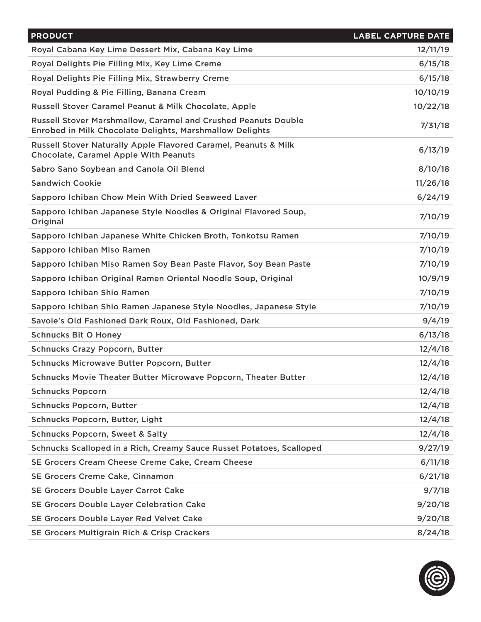| <b>PRODUCT</b>                                                                                                             | <b>LABEL CAPTURE DATE</b> |
|----------------------------------------------------------------------------------------------------------------------------|---------------------------|
| Royal Cabana Key Lime Dessert Mix, Cabana Key Lime                                                                         | 12/11/19                  |
| Royal Delights Pie Filling Mix, Key Lime Creme                                                                             | 6/15/18                   |
| Royal Delights Pie Filling Mix, Strawberry Creme                                                                           | 6/15/18                   |
| Royal Pudding & Pie Filling, Banana Cream                                                                                  | 10/10/19                  |
| Russell Stover Caramel Peanut & Milk Chocolate, Apple                                                                      | 10/22/18                  |
| Russell Stover Marshmallow, Caramel and Crushed Peanuts Double<br>Enrobed in Milk Chocolate Delights, Marshmallow Delights | 7/31/18                   |
| Russell Stover Naturally Apple Flavored Caramel, Peanuts & Milk<br><b>Chocolate, Caramel Apple With Peanuts</b>            | 6/13/19                   |
| Sabro Sano Soybean and Canola Oil Blend                                                                                    | 8/10/18                   |
| <b>Sandwich Cookie</b>                                                                                                     | 11/26/18                  |
| Sapporo Ichiban Chow Mein With Dried Seaweed Laver                                                                         | 6/24/19                   |
| Sapporo Ichiban Japanese Style Noodles & Original Flavored Soup,<br>Original                                               | 7/10/19                   |
| Sapporo Ichiban Japanese White Chicken Broth, Tonkotsu Ramen                                                               | 7/10/19                   |
| Sapporo Ichiban Miso Ramen                                                                                                 | 7/10/19                   |
| Sapporo Ichiban Miso Ramen Soy Bean Paste Flavor, Soy Bean Paste                                                           | 7/10/19                   |
| Sapporo Ichiban Original Ramen Oriental Noodle Soup, Original                                                              | 10/9/19                   |
| Sapporo Ichiban Shio Ramen                                                                                                 | 7/10/19                   |
| Sapporo Ichiban Shio Ramen Japanese Style Noodles, Japanese Style                                                          | 7/10/19                   |
| Savoie's Old Fashioned Dark Roux, Old Fashioned, Dark                                                                      | 9/4/19                    |
| <b>Schnucks Bit O Honey</b>                                                                                                | 6/13/18                   |
| <b>Schnucks Crazy Popcorn, Butter</b>                                                                                      | 12/4/18                   |
| <b>Schnucks Microwave Butter Popcorn, Butter</b>                                                                           | 12/4/18                   |
| Schnucks Movie Theater Butter Microwave Popcorn, Theater Butter                                                            | 12/4/18                   |
| <b>Schnucks Popcorn</b>                                                                                                    | 12/4/18                   |
| <b>Schnucks Popcorn, Butter</b>                                                                                            | 12/4/18                   |
| Schnucks Popcorn, Butter, Light                                                                                            | 12/4/18                   |
| <b>Schnucks Popcorn, Sweet &amp; Salty</b>                                                                                 | 12/4/18                   |
| Schnucks Scalloped in a Rich, Creamy Sauce Russet Potatoes, Scalloped                                                      | 9/27/19                   |
| SE Grocers Cream Cheese Creme Cake, Cream Cheese                                                                           | 6/11/18                   |
| SE Grocers Creme Cake, Cinnamon                                                                                            | 6/21/18                   |
| SE Grocers Double Layer Carrot Cake                                                                                        | 9/7/18                    |
| SE Grocers Double Layer Celebration Cake                                                                                   | 9/20/18                   |
| SE Grocers Double Layer Red Velvet Cake                                                                                    | 9/20/18                   |
| <b>SE Grocers Multigrain Rich &amp; Crisp Crackers</b>                                                                     | 8/24/18                   |

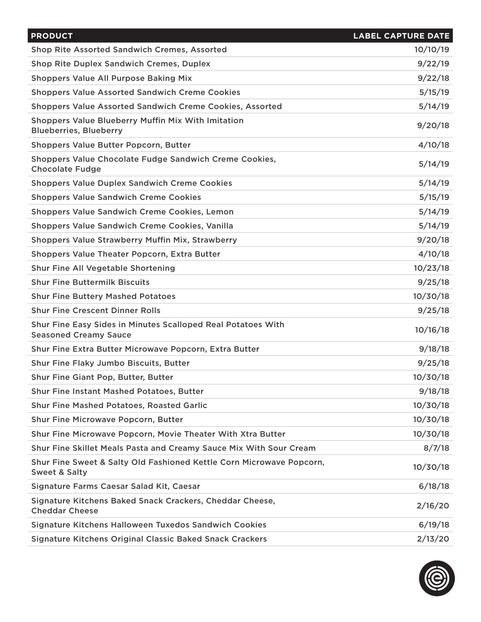| <b>PRODUCT</b>                                                                                   | <b>LABEL CAPTURE DATE</b> |
|--------------------------------------------------------------------------------------------------|---------------------------|
| Shop Rite Assorted Sandwich Cremes, Assorted                                                     | 10/10/19                  |
| <b>Shop Rite Duplex Sandwich Cremes, Duplex</b>                                                  | 9/22/19                   |
| <b>Shoppers Value All Purpose Baking Mix</b>                                                     | 9/22/18                   |
| <b>Shoppers Value Assorted Sandwich Creme Cookies</b>                                            | 5/15/19                   |
| <b>Shoppers Value Assorted Sandwich Creme Cookies, Assorted</b>                                  | 5/14/19                   |
| <b>Shoppers Value Blueberry Muffin Mix With Imitation</b><br><b>Blueberries, Blueberry</b>       | 9/20/18                   |
| Shoppers Value Butter Popcorn, Butter                                                            | 4/10/18                   |
| Shoppers Value Chocolate Fudge Sandwich Creme Cookies,<br><b>Chocolate Fudge</b>                 | 5/14/19                   |
| <b>Shoppers Value Duplex Sandwich Creme Cookies</b>                                              | 5/14/19                   |
| <b>Shoppers Value Sandwich Creme Cookies</b>                                                     | 5/15/19                   |
| <b>Shoppers Value Sandwich Creme Cookies, Lemon</b>                                              | 5/14/19                   |
| Shoppers Value Sandwich Creme Cookies, Vanilla                                                   | 5/14/19                   |
| Shoppers Value Strawberry Muffin Mix, Strawberry                                                 | 9/20/18                   |
| Shoppers Value Theater Popcorn, Extra Butter                                                     | 4/10/18                   |
| Shur Fine All Vegetable Shortening                                                               | 10/23/18                  |
| <b>Shur Fine Buttermilk Biscuits</b>                                                             | 9/25/18                   |
| <b>Shur Fine Buttery Mashed Potatoes</b>                                                         | 10/30/18                  |
| <b>Shur Fine Crescent Dinner Rolls</b>                                                           | 9/25/18                   |
| Shur Fine Easy Sides in Minutes Scalloped Real Potatoes With<br><b>Seasoned Creamy Sauce</b>     | 10/16/18                  |
| Shur Fine Extra Butter Microwave Popcorn, Extra Butter                                           | 9/18/18                   |
| Shur Fine Flaky Jumbo Biscuits, Butter                                                           | 9/25/18                   |
| Shur Fine Giant Pop, Butter, Butter                                                              | 10/30/18                  |
| <b>Shur Fine Instant Mashed Potatoes, Butter</b>                                                 | 9/18/18                   |
| <b>Shur Fine Mashed Potatoes, Roasted Garlic</b>                                                 | 10/30/18                  |
| <b>Shur Fine Microwave Popcorn, Butter</b>                                                       | 10/30/18                  |
| Shur Fine Microwave Popcorn, Movie Theater With Xtra Butter                                      | 10/30/18                  |
| Shur Fine Skillet Meals Pasta and Creamy Sauce Mix With Sour Cream                               | 8/7/18                    |
| Shur Fine Sweet & Salty Old Fashioned Kettle Corn Microwave Popcorn,<br><b>Sweet &amp; Salty</b> | 10/30/18                  |
| Signature Farms Caesar Salad Kit, Caesar                                                         | 6/18/18                   |
| Signature Kitchens Baked Snack Crackers, Cheddar Cheese,<br><b>Cheddar Cheese</b>                | 2/16/20                   |
| Signature Kitchens Halloween Tuxedos Sandwich Cookies                                            | 6/19/18                   |
| Signature Kitchens Original Classic Baked Snack Crackers                                         | 2/13/20                   |

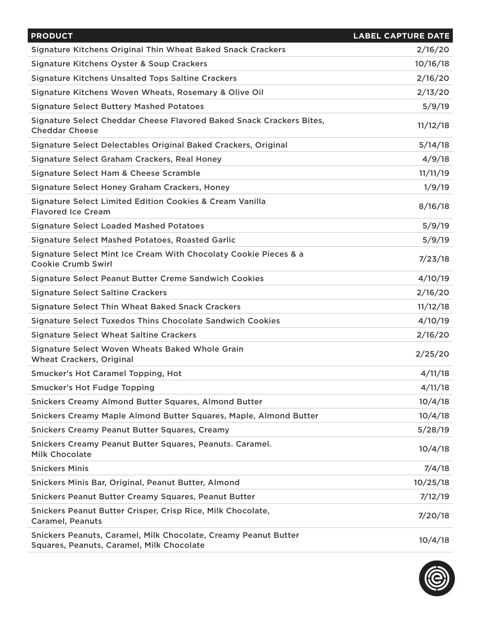| <b>PRODUCT</b>                                                                                               | <b>LABEL CAPTURE DATE</b> |
|--------------------------------------------------------------------------------------------------------------|---------------------------|
| Signature Kitchens Original Thin Wheat Baked Snack Crackers                                                  | 2/16/20                   |
| Signature Kitchens Oyster & Soup Crackers                                                                    | 10/16/18                  |
| <b>Signature Kitchens Unsalted Tops Saltine Crackers</b>                                                     | 2/16/20                   |
| Signature Kitchens Woven Wheats, Rosemary & Olive Oil                                                        | 2/13/20                   |
| <b>Signature Select Buttery Mashed Potatoes</b>                                                              | 5/9/19                    |
| Signature Select Cheddar Cheese Flavored Baked Snack Crackers Bites,<br><b>Cheddar Cheese</b>                | 11/12/18                  |
| Signature Select Delectables Original Baked Crackers, Original                                               | 5/14/18                   |
| Signature Select Graham Crackers, Real Honey                                                                 | 4/9/18                    |
| Signature Select Ham & Cheese Scramble                                                                       | 11/11/19                  |
| Signature Select Honey Graham Crackers, Honey                                                                | 1/9/19                    |
| <b>Signature Select Limited Edition Cookies &amp; Cream Vanilla</b><br><b>Flavored Ice Cream</b>             | 8/16/18                   |
| <b>Signature Select Loaded Mashed Potatoes</b>                                                               | 5/9/19                    |
| <b>Signature Select Mashed Potatoes, Roasted Garlic</b>                                                      | 5/9/19                    |
| Signature Select Mint Ice Cream With Chocolaty Cookie Pieces & a<br><b>Cookie Crumb Swirl</b>                | 7/23/18                   |
| Signature Select Peanut Butter Creme Sandwich Cookies                                                        | 4/10/19                   |
| <b>Signature Select Saltine Crackers</b>                                                                     | 2/16/20                   |
| <b>Signature Select Thin Wheat Baked Snack Crackers</b>                                                      | 11/12/18                  |
| Signature Select Tuxedos Thins Chocolate Sandwich Cookies                                                    | 4/10/19                   |
| <b>Signature Select Wheat Saltine Crackers</b>                                                               | 2/16/20                   |
| Signature Select Woven Wheats Baked Whole Grain<br><b>Wheat Crackers, Original</b>                           | 2/25/20                   |
| <b>Smucker's Hot Caramel Topping, Hot</b>                                                                    | 4/11/18                   |
| <b>Smucker's Hot Fudge Topping</b>                                                                           | 4/11/18                   |
| <b>Snickers Creamy Almond Butter Squares, Almond Butter</b>                                                  | 10/4/18                   |
| Snickers Creamy Maple Almond Butter Squares, Maple, Almond Butter                                            | 10/4/18                   |
| <b>Snickers Creamy Peanut Butter Squares, Creamy</b>                                                         | 5/28/19                   |
| Snickers Creamy Peanut Butter Squares, Peanuts. Caramel.<br><b>Milk Chocolate</b>                            | 10/4/18                   |
| <b>Snickers Minis</b>                                                                                        | 7/4/18                    |
| Snickers Minis Bar, Original, Peanut Butter, Almond                                                          | 10/25/18                  |
| <b>Snickers Peanut Butter Creamy Squares, Peanut Butter</b>                                                  | 7/12/19                   |
| Snickers Peanut Butter Crisper, Crisp Rice, Milk Chocolate,<br><b>Caramel, Peanuts</b>                       | 7/20/18                   |
| Snickers Peanuts, Caramel, Milk Chocolate, Creamy Peanut Butter<br>Squares, Peanuts, Caramel, Milk Chocolate | 10/4/18                   |

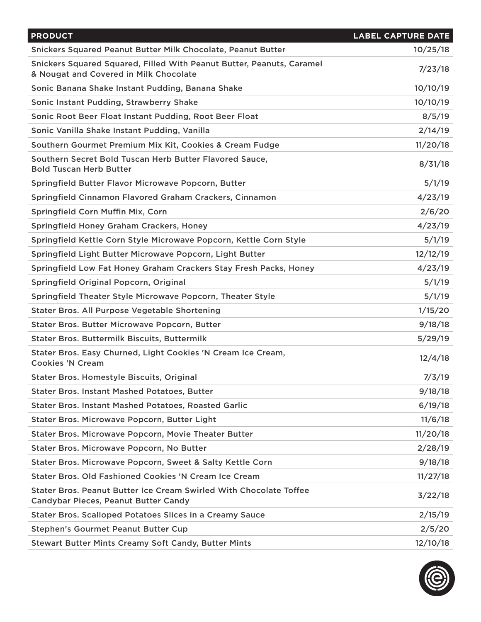| <b>PRODUCT</b>                                                                                                    | <b>LABEL CAPTURE DATE</b> |
|-------------------------------------------------------------------------------------------------------------------|---------------------------|
| Snickers Squared Peanut Butter Milk Chocolate, Peanut Butter                                                      | 10/25/18                  |
| Snickers Squared Squared, Filled With Peanut Butter, Peanuts, Caramel<br>& Nougat and Covered in Milk Chocolate   | 7/23/18                   |
| Sonic Banana Shake Instant Pudding, Banana Shake                                                                  | 10/10/19                  |
| Sonic Instant Pudding, Strawberry Shake                                                                           | 10/10/19                  |
| Sonic Root Beer Float Instant Pudding, Root Beer Float                                                            | 8/5/19                    |
| Sonic Vanilla Shake Instant Pudding, Vanilla                                                                      | 2/14/19                   |
| Southern Gourmet Premium Mix Kit, Cookies & Cream Fudge                                                           | 11/20/18                  |
| Southern Secret Bold Tuscan Herb Butter Flavored Sauce,<br><b>Bold Tuscan Herb Butter</b>                         | 8/31/18                   |
| Springfield Butter Flavor Microwave Popcorn, Butter                                                               | 5/1/19                    |
| Springfield Cinnamon Flavored Graham Crackers, Cinnamon                                                           | 4/23/19                   |
| Springfield Corn Muffin Mix, Corn                                                                                 | 2/6/20                    |
| Springfield Honey Graham Crackers, Honey                                                                          | 4/23/19                   |
| Springfield Kettle Corn Style Microwave Popcorn, Kettle Corn Style                                                | 5/1/19                    |
| Springfield Light Butter Microwave Popcorn, Light Butter                                                          | 12/12/19                  |
| Springfield Low Fat Honey Graham Crackers Stay Fresh Packs, Honey                                                 | 4/23/19                   |
| Springfield Original Popcorn, Original                                                                            | 5/1/19                    |
| Springfield Theater Style Microwave Popcorn, Theater Style                                                        | 5/1/19                    |
| Stater Bros. All Purpose Vegetable Shortening                                                                     | 1/15/20                   |
| Stater Bros. Butter Microwave Popcorn, Butter                                                                     | 9/18/18                   |
| <b>Stater Bros. Buttermilk Biscuits, Buttermilk</b>                                                               | 5/29/19                   |
| Stater Bros. Easy Churned, Light Cookies 'N Cream Ice Cream,<br><b>Cookies 'N Cream</b>                           | 12/4/18                   |
| <b>Stater Bros. Homestyle Biscuits, Original</b>                                                                  | 7/3/19                    |
| <b>Stater Bros. Instant Mashed Potatoes, Butter</b>                                                               | 9/18/18                   |
| <b>Stater Bros. Instant Mashed Potatoes, Roasted Garlic</b>                                                       | 6/19/18                   |
| Stater Bros. Microwave Popcorn, Butter Light                                                                      | 11/6/18                   |
| Stater Bros. Microwave Popcorn, Movie Theater Butter                                                              | 11/20/18                  |
| Stater Bros. Microwave Popcorn, No Butter                                                                         | 2/28/19                   |
| Stater Bros. Microwave Popcorn, Sweet & Salty Kettle Corn                                                         | 9/18/18                   |
| <b>Stater Bros, Old Fashioned Cookies 'N Cream Ice Cream</b>                                                      | 11/27/18                  |
| Stater Bros. Peanut Butter Ice Cream Swirled With Chocolate Toffee<br><b>Candybar Pieces, Peanut Butter Candy</b> | 3/22/18                   |
| <b>Stater Bros. Scalloped Potatoes Slices in a Creamy Sauce</b>                                                   | 2/15/19                   |
| <b>Stephen's Gourmet Peanut Butter Cup</b>                                                                        | 2/5/20                    |
| <b>Stewart Butter Mints Creamy Soft Candy, Butter Mints</b>                                                       | 12/10/18                  |

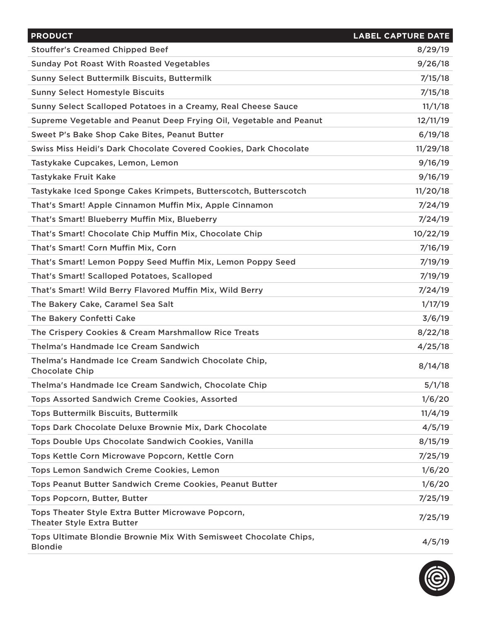| <b>PRODUCT</b>                                                                          | <b>LABEL CAPTURE DATE</b> |
|-----------------------------------------------------------------------------------------|---------------------------|
| <b>Stouffer's Creamed Chipped Beef</b>                                                  | 8/29/19                   |
| <b>Sunday Pot Roast With Roasted Vegetables</b>                                         | 9/26/18                   |
| <b>Sunny Select Buttermilk Biscuits, Buttermilk</b>                                     | 7/15/18                   |
| <b>Sunny Select Homestyle Biscuits</b>                                                  | 7/15/18                   |
| Sunny Select Scalloped Potatoes in a Creamy, Real Cheese Sauce                          | 11/1/18                   |
| Supreme Vegetable and Peanut Deep Frying Oil, Vegetable and Peanut                      | 12/11/19                  |
| Sweet P's Bake Shop Cake Bites, Peanut Butter                                           | 6/19/18                   |
| Swiss Miss Heidi's Dark Chocolate Covered Cookies, Dark Chocolate                       | 11/29/18                  |
| Tastykake Cupcakes, Lemon, Lemon                                                        | 9/16/19                   |
| <b>Tastykake Fruit Kake</b>                                                             | 9/16/19                   |
| Tastykake Iced Sponge Cakes Krimpets, Butterscotch, Butterscotch                        | 11/20/18                  |
| That's Smart! Apple Cinnamon Muffin Mix, Apple Cinnamon                                 | 7/24/19                   |
| That's Smart! Blueberry Muffin Mix, Blueberry                                           | 7/24/19                   |
| That's Smart! Chocolate Chip Muffin Mix, Chocolate Chip                                 | 10/22/19                  |
| That's Smart! Corn Muffin Mix, Corn                                                     | 7/16/19                   |
| That's Smart! Lemon Poppy Seed Muffin Mix, Lemon Poppy Seed                             | 7/19/19                   |
| That's Smart! Scalloped Potatoes, Scalloped                                             | 7/19/19                   |
| That's Smart! Wild Berry Flavored Muffin Mix, Wild Berry                                | 7/24/19                   |
| The Bakery Cake, Caramel Sea Salt                                                       | 1/17/19                   |
| The Bakery Confetti Cake                                                                | 3/6/19                    |
| The Crispery Cookies & Cream Marshmallow Rice Treats                                    | 8/22/18                   |
| Thelma's Handmade Ice Cream Sandwich                                                    | 4/25/18                   |
| Thelma's Handmade Ice Cream Sandwich Chocolate Chip,<br><b>Chocolate Chip</b>           | 8/14/18                   |
| Thelma's Handmade Ice Cream Sandwich, Chocolate Chip                                    | 5/1/18                    |
| <b>Tops Assorted Sandwich Creme Cookies, Assorted</b>                                   | 1/6/20                    |
| <b>Tops Buttermilk Biscuits, Buttermilk</b>                                             | 11/4/19                   |
| Tops Dark Chocolate Deluxe Brownie Mix, Dark Chocolate                                  | 4/5/19                    |
| Tops Double Ups Chocolate Sandwich Cookies, Vanilla                                     | 8/15/19                   |
| Tops Kettle Corn Microwave Popcorn, Kettle Corn                                         | 7/25/19                   |
| Tops Lemon Sandwich Creme Cookies, Lemon                                                | 1/6/20                    |
| Tops Peanut Butter Sandwich Creme Cookies, Peanut Butter                                | 1/6/20                    |
| Tops Popcorn, Butter, Butter                                                            | 7/25/19                   |
| Tops Theater Style Extra Butter Microwave Popcorn,<br><b>Theater Style Extra Butter</b> | 7/25/19                   |
| Tops Ultimate Blondie Brownie Mix With Semisweet Chocolate Chips,<br><b>Blondie</b>     | 4/5/19                    |

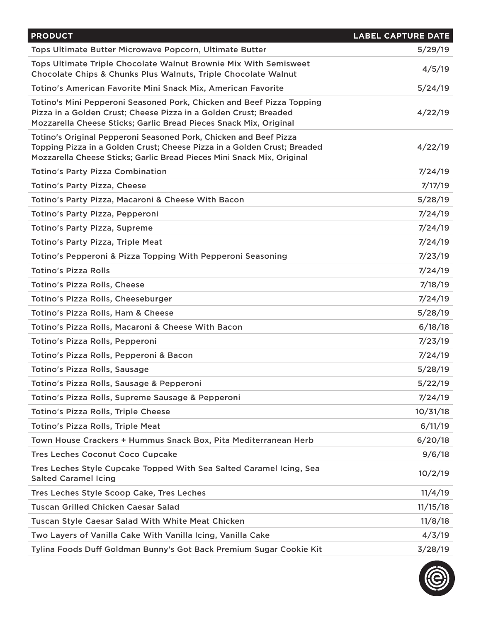| <b>PRODUCT</b>                                                                                                                                                                                                          | <b>LABEL CAPTURE DATE</b> |
|-------------------------------------------------------------------------------------------------------------------------------------------------------------------------------------------------------------------------|---------------------------|
| Tops Ultimate Butter Microwave Popcorn, Ultimate Butter                                                                                                                                                                 | 5/29/19                   |
| Tops Ultimate Triple Chocolate Walnut Brownie Mix With Semisweet<br>Chocolate Chips & Chunks Plus Walnuts, Triple Chocolate Walnut                                                                                      | 4/5/19                    |
| Totino's American Favorite Mini Snack Mix, American Favorite                                                                                                                                                            | 5/24/19                   |
| Totino's Mini Pepperoni Seasoned Pork, Chicken and Beef Pizza Topping<br>Pizza in a Golden Crust; Cheese Pizza in a Golden Crust; Breaded<br>Mozzarella Cheese Sticks; Garlic Bread Pieces Snack Mix, Original          | 4/22/19                   |
| Totino's Original Pepperoni Seasoned Pork, Chicken and Beef Pizza<br>Topping Pizza in a Golden Crust; Cheese Pizza in a Golden Crust; Breaded<br>Mozzarella Cheese Sticks; Garlic Bread Pieces Mini Snack Mix, Original | 4/22/19                   |
| <b>Totino's Party Pizza Combination</b>                                                                                                                                                                                 | 7/24/19                   |
| <b>Totino's Party Pizza, Cheese</b>                                                                                                                                                                                     | 7/17/19                   |
| Totino's Party Pizza, Macaroni & Cheese With Bacon                                                                                                                                                                      | 5/28/19                   |
| Totino's Party Pizza, Pepperoni                                                                                                                                                                                         | 7/24/19                   |
| <b>Totino's Party Pizza, Supreme</b>                                                                                                                                                                                    | 7/24/19                   |
| <b>Totino's Party Pizza, Triple Meat</b>                                                                                                                                                                                | 7/24/19                   |
| Totino's Pepperoni & Pizza Topping With Pepperoni Seasoning                                                                                                                                                             | 7/23/19                   |
| <b>Totino's Pizza Rolls</b>                                                                                                                                                                                             | 7/24/19                   |
| <b>Totino's Pizza Rolls, Cheese</b>                                                                                                                                                                                     | 7/18/19                   |
| Totino's Pizza Rolls, Cheeseburger                                                                                                                                                                                      | 7/24/19                   |
| Totino's Pizza Rolls, Ham & Cheese                                                                                                                                                                                      | 5/28/19                   |
| Totino's Pizza Rolls, Macaroni & Cheese With Bacon                                                                                                                                                                      | 6/18/18                   |
| Totino's Pizza Rolls, Pepperoni                                                                                                                                                                                         | 7/23/19                   |
| Totino's Pizza Rolls, Pepperoni & Bacon                                                                                                                                                                                 | 7/24/19                   |
| <b>Totino's Pizza Rolls, Sausage</b>                                                                                                                                                                                    | 5/28/19                   |
| Totino's Pizza Rolls, Sausage & Pepperoni                                                                                                                                                                               | 5/22/19                   |
| Totino's Pizza Rolls, Supreme Sausage & Pepperoni                                                                                                                                                                       | 7/24/19                   |
| <b>Totino's Pizza Rolls, Triple Cheese</b>                                                                                                                                                                              | 10/31/18                  |
| Totino's Pizza Rolls, Triple Meat                                                                                                                                                                                       | 6/11/19                   |
| Town House Crackers + Hummus Snack Box, Pita Mediterranean Herb                                                                                                                                                         | 6/20/18                   |
| <b>Tres Leches Coconut Coco Cupcake</b>                                                                                                                                                                                 | 9/6/18                    |
| Tres Leches Style Cupcake Topped With Sea Salted Caramel Icing, Sea<br><b>Salted Caramel Icing</b>                                                                                                                      | 10/2/19                   |
| Tres Leches Style Scoop Cake, Tres Leches                                                                                                                                                                               | 11/4/19                   |
| <b>Tuscan Grilled Chicken Caesar Salad</b>                                                                                                                                                                              | 11/15/18                  |
| <b>Tuscan Style Caesar Salad With White Meat Chicken</b>                                                                                                                                                                | 11/8/18                   |
| Two Layers of Vanilla Cake With Vanilla Icing, Vanilla Cake                                                                                                                                                             | 4/3/19                    |
| Tylina Foods Duff Goldman Bunny's Got Back Premium Sugar Cookie Kit                                                                                                                                                     | 3/28/19                   |

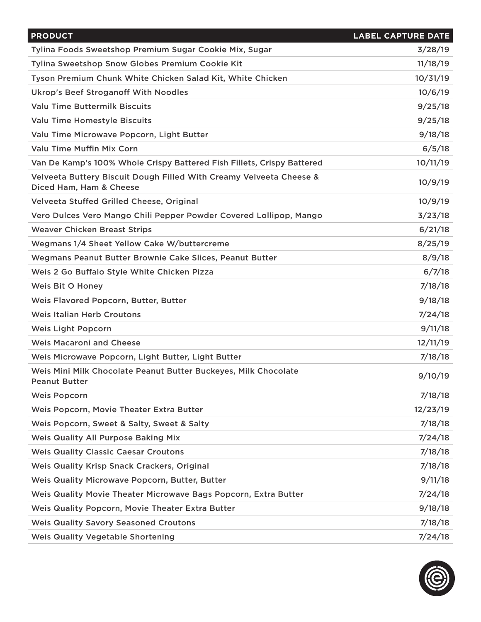| <b>PRODUCT</b>                                                                                 | <b>LABEL CAPTURE DATE</b> |
|------------------------------------------------------------------------------------------------|---------------------------|
| Tylina Foods Sweetshop Premium Sugar Cookie Mix, Sugar                                         | 3/28/19                   |
| Tylina Sweetshop Snow Globes Premium Cookie Kit                                                | 11/18/19                  |
| Tyson Premium Chunk White Chicken Salad Kit, White Chicken                                     | 10/31/19                  |
| <b>Ukrop's Beef Stroganoff With Noodles</b>                                                    | 10/6/19                   |
| <b>Valu Time Buttermilk Biscuits</b>                                                           | 9/25/18                   |
| Valu Time Homestyle Biscuits                                                                   | 9/25/18                   |
| Valu Time Microwave Popcorn, Light Butter                                                      | 9/18/18                   |
| <b>Valu Time Muffin Mix Corn</b>                                                               | 6/5/18                    |
| Van De Kamp's 100% Whole Crispy Battered Fish Fillets, Crispy Battered                         | 10/11/19                  |
| Velveeta Buttery Biscuit Dough Filled With Creamy Velveeta Cheese &<br>Diced Ham, Ham & Cheese | 10/9/19                   |
| Velveeta Stuffed Grilled Cheese, Original                                                      | 10/9/19                   |
| Vero Dulces Vero Mango Chili Pepper Powder Covered Lollipop, Mango                             | 3/23/18                   |
| <b>Weaver Chicken Breast Strips</b>                                                            | 6/21/18                   |
| Wegmans 1/4 Sheet Yellow Cake W/buttercreme                                                    | 8/25/19                   |
| Wegmans Peanut Butter Brownie Cake Slices, Peanut Butter                                       | 8/9/18                    |
| Weis 2 Go Buffalo Style White Chicken Pizza                                                    | 6/7/18                    |
| <b>Weis Bit O Honey</b>                                                                        | 7/18/18                   |
| Weis Flavored Popcorn, Butter, Butter                                                          | 9/18/18                   |
| <b>Weis Italian Herb Croutons</b>                                                              | 7/24/18                   |
| <b>Weis Light Popcorn</b>                                                                      | 9/11/18                   |
| <b>Weis Macaroni and Cheese</b>                                                                | 12/11/19                  |
| Weis Microwave Popcorn, Light Butter, Light Butter                                             | 7/18/18                   |
| Weis Mini Milk Chocolate Peanut Butter Buckeyes, Milk Chocolate<br><b>Peanut Butter</b>        | 9/10/19                   |
| <b>Weis Popcorn</b>                                                                            | 7/18/18                   |
| Weis Popcorn, Movie Theater Extra Butter                                                       | 12/23/19                  |
| Weis Popcorn, Sweet & Salty, Sweet & Salty                                                     | 7/18/18                   |
| <b>Weis Quality All Purpose Baking Mix</b>                                                     | 7/24/18                   |
| <b>Weis Quality Classic Caesar Croutons</b>                                                    | 7/18/18                   |
| Weis Quality Krisp Snack Crackers, Original                                                    | 7/18/18                   |
| Weis Quality Microwave Popcorn, Butter, Butter                                                 | 9/11/18                   |
| Weis Quality Movie Theater Microwave Bags Popcorn, Extra Butter                                | 7/24/18                   |
| Weis Quality Popcorn, Movie Theater Extra Butter                                               | 9/18/18                   |
| <b>Weis Quality Savory Seasoned Croutons</b>                                                   | 7/18/18                   |
| <b>Weis Quality Vegetable Shortening</b>                                                       | 7/24/18                   |